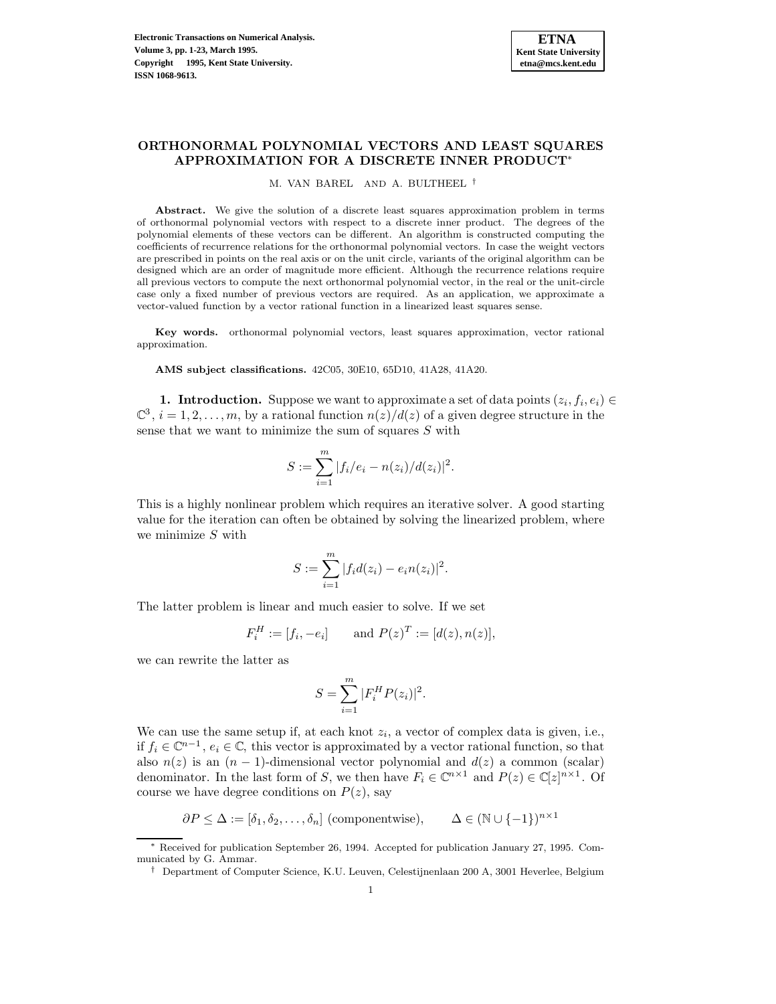## **ORTHONORMAL POLYNOMIAL VECTORS AND LEAST SQUARES APPROXIMATION FOR A DISCRETE INNER PRODUCT**<sup>∗</sup>

M. VAN BAREL AND A. BULTHEEL †

**Abstract.** We give the solution of a discrete least squares approximation problem in terms of orthonormal polynomial vectors with respect to a discrete inner product. The degrees of the polynomial elements of these vectors can be different. An algorithm is constructed computing the coefficients of recurrence relations for the orthonormal polynomial vectors. In case the weight vectors are prescribed in points on the real axis or on the unit circle, variants of the original algorithm can be designed which are an order of magnitude more efficient. Although the recurrence relations require all previous vectors to compute the next orthonormal polynomial vector, in the real or the unit-circle case only a fixed number of previous vectors are required. As an application, we approximate a vector-valued function by a vector rational function in a linearized least squares sense.

**Key words.** orthonormal polynomial vectors, least squares approximation, vector rational approximation.

**AMS subject classifications.** 42C05, 30E10, 65D10, 41A28, 41A20.

**1. Introduction.** Suppose we want to approximate a set of data points  $(z_i, f_i, e_i) \in$  $\mathbb{C}^3$ ,  $i = 1, 2, \ldots, m$ , by a rational function  $n(z)/d(z)$  of a given degree structure in the sense that we want to minimize the sum of squares S with

$$
S := \sum_{i=1}^{m} |f_i/e_i - n(z_i)/d(z_i)|^2.
$$

This is a highly nonlinear problem which requires an iterative solver. A good starting value for the iteration can often be obtained by solving the linearized problem, where we minimize  $S$  with

$$
S := \sum_{i=1}^{m} |f_i d(z_i) - e_i n(z_i)|^2.
$$

The latter problem is linear and much easier to solve. If we set

$$
F_i^H := [f_i, -e_i]
$$
 and  $P(z)^T := [d(z), n(z)],$ 

we can rewrite the latter as

$$
S = \sum_{i=1}^{m} |F_i^H P(z_i)|^2.
$$

We can use the same setup if, at each knot  $z_i$ , a vector of complex data is given, i.e., if  $f_i \in \mathbb{C}^{n-1}$ ,  $e_i \in \mathbb{C}$ , this vector is approximated by a vector rational function, so that also  $n(z)$  is an  $(n - 1)$ -dimensional vector polynomial and  $d(z)$  a common (scalar) denominator. In the last form of S, we then have  $F_i \in \mathbb{C}^{n \times 1}$  and  $P(z) \in \mathbb{C}[z]^{n \times 1}$ . Of course we have degree conditions on  $P(z)$ , say

$$
\partial P \le \Delta := [\delta_1, \delta_2, \dots, \delta_n] \text{ (componentwise)}, \qquad \Delta \in (\mathbb{N} \cup \{-1\})^{n \times 1}
$$

<sup>∗</sup> Received for publication September 26, 1994. Accepted for publication January 27, 1995. Communicated by G. Ammar.

<sup>†</sup> Department of Computer Science, K.U. Leuven, Celestijnenlaan 200 A, 3001 Heverlee, Belgium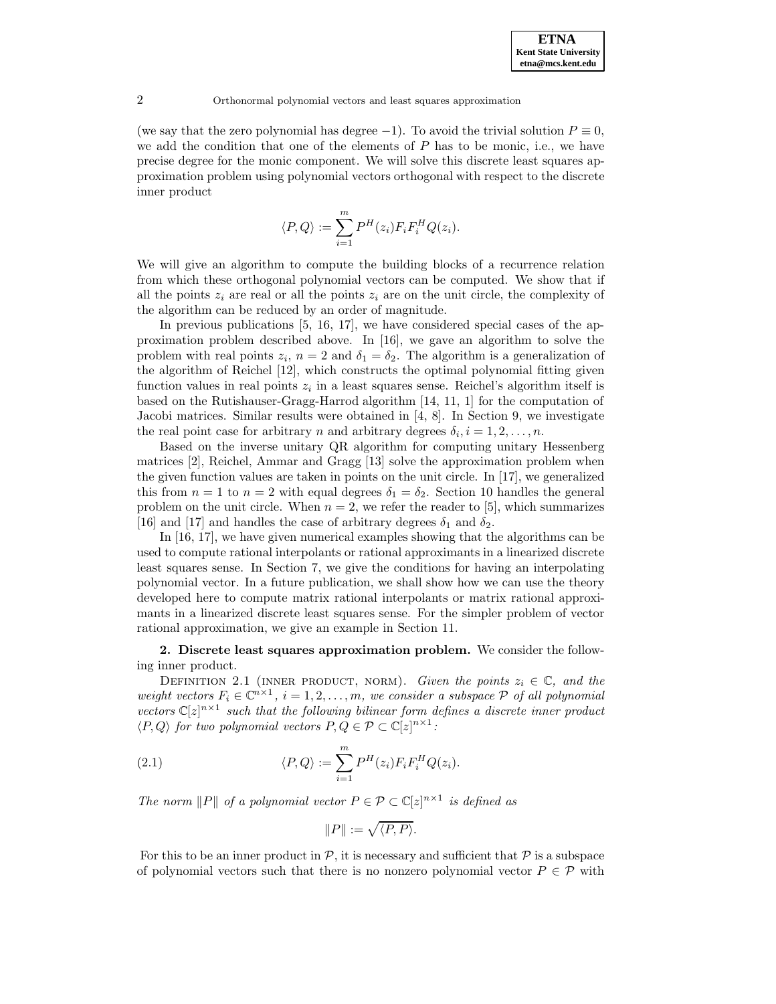(we say that the zero polynomial has degree  $-1$ ). To avoid the trivial solution  $P \equiv 0$ , we add the condition that one of the elements of  $P$  has to be monic, i.e., we have precise degree for the monic component. We will solve this discrete least squares approximation problem using polynomial vectors orthogonal with respect to the discrete inner product

$$
\langle P, Q \rangle := \sum_{i=1}^{m} P^{H}(z_i) F_i F_i^H Q(z_i).
$$

We will give an algorithm to compute the building blocks of a recurrence relation from which these orthogonal polynomial vectors can be computed. We show that if all the points  $z_i$  are real or all the points  $z_i$  are on the unit circle, the complexity of the algorithm can be reduced by an order of magnitude.

In previous publications [5, 16, 17], we have considered special cases of the approximation problem described above. In [16], we gave an algorithm to solve the problem with real points  $z_i$ ,  $n = 2$  and  $\delta_1 = \delta_2$ . The algorithm is a generalization of the algorithm of Reichel [12], which constructs the optimal polynomial fitting given function values in real points  $z_i$  in a least squares sense. Reichel's algorithm itself is based on the Rutishauser-Gragg-Harrod algorithm [14, 11, 1] for the computation of Jacobi matrices. Similar results were obtained in [4, 8]. In Section 9, we investigate the real point case for arbitrary n and arbitrary degrees  $\delta_i, i = 1, 2, \ldots, n$ .

Based on the inverse unitary QR algorithm for computing unitary Hessenberg matrices [2], Reichel, Ammar and Gragg [13] solve the approximation problem when the given function values are taken in points on the unit circle. In [17], we generalized this from  $n = 1$  to  $n = 2$  with equal degrees  $\delta_1 = \delta_2$ . Section 10 handles the general problem on the unit circle. When  $n = 2$ , we refer the reader to [5], which summarizes [16] and [17] and handles the case of arbitrary degrees  $\delta_1$  and  $\delta_2$ .

In [16, 17], we have given numerical examples showing that the algorithms can be used to compute rational interpolants or rational approximants in a linearized discrete least squares sense. In Section 7, we give the conditions for having an interpolating polynomial vector. In a future publication, we shall show how we can use the theory developed here to compute matrix rational interpolants or matrix rational approximants in a linearized discrete least squares sense. For the simpler problem of vector rational approximation, we give an example in Section 11.

# **2. Discrete least squares approximation problem.** We consider the following inner product.

DEFINITION 2.1 (INNER PRODUCT, NORM). Given the points  $z_i \in \mathbb{C}$ , and the weight vectors  $F_i \in \mathbb{C}^{n \times 1}$ ,  $i = 1, 2, ..., m$ , we consider a subspace  $P$  of all polynomial vectors  $\mathbb{C}[z]^{n\times 1}$  such that the following bilinear form defines a discrete inner product  $\langle P, Q \rangle$  for two polynomial vectors  $P, Q \in \mathcal{P} \subset \mathbb{C}[z]^{n \times 1}$ :

(2.1) 
$$
\langle P, Q \rangle := \sum_{i=1}^{m} P^{H}(z_i) F_i F_i^{H} Q(z_i).
$$

The norm  $||P||$  of a polynomial vector  $P \in \mathcal{P} \subset \mathbb{C}[z]^{n \times 1}$  is defined as

$$
\|P\|:=\sqrt{\langle P,P\rangle}.
$$

For this to be an inner product in  $P$ , it is necessary and sufficient that  $P$  is a subspace of polynomial vectors such that there is no nonzero polynomial vector  $P \in \mathcal{P}$  with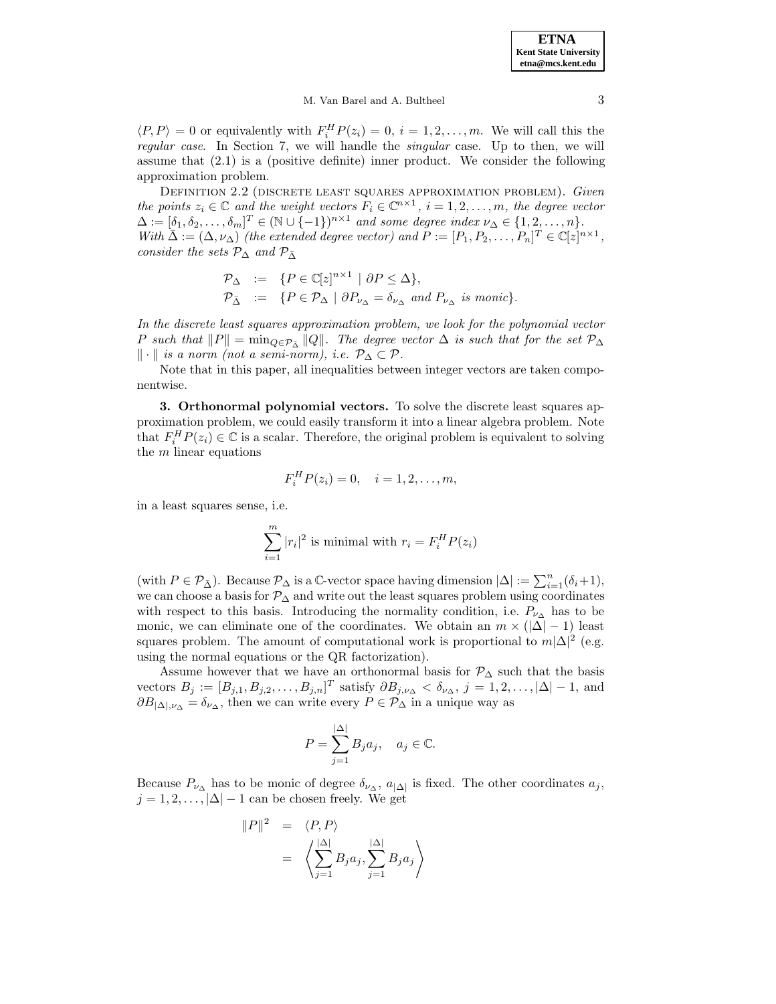#### M. Van Barel and A. Bultheel 3

 $\langle P, P \rangle = 0$  or equivalently with  $F_i^H P(z_i) = 0, i = 1, 2, ..., m$ . We will call this the regular case. In Section 7, we will handle the singular case. Up to then, we will assume that (2.1) is a (positive definite) inner product. We consider the following approximation problem.

DEFINITION 2.2 (DISCRETE LEAST SQUARES APPROXIMATION PROBLEM). Given the points  $z_i \in \mathbb{C}$  and the weight vectors  $F_i \in \mathbb{C}^{n \times 1}$ ,  $i = 1, 2, ..., m$ , the degree vector  $\Delta := [\delta_1, \delta_2, \ldots, \delta_m]^T \in (\mathbb{N} \cup \{-1\})^{n \times 1}$  and some degree index  $\nu_\Delta \in \{1, 2, \ldots, n\}.$ With  $\overline{\Delta} := (\Delta, \nu_{\Delta})$  (the extended degree vector) and  $P := [P_1, P_2, \ldots, P_n]^T \in \mathbb{C}[z]^{n \times 1}$ , consider the sets  $\mathcal{P}_{\Delta}$  and  $\mathcal{P}_{\bar{\Delta}}$ 

$$
\begin{array}{rcl}\n\mathcal{P}_{\Delta} & := & \{P \in \mathbb{C}[z]^{n \times 1} \mid \partial P \leq \Delta\}, \\
\mathcal{P}_{\bar{\Delta}} & := & \{P \in \mathcal{P}_{\Delta} \mid \partial P_{\nu_{\Delta}} = \delta_{\nu_{\Delta}} \text{ and } P_{\nu_{\Delta}} \text{ is monic}\}.\n\end{array}
$$

In the discrete least squares approximation problem, we look for the polynomial vector P such that  $||P|| = \min_{Q \in \mathcal{P}_{\bar{\Delta}}} ||Q||$ . The degree vector  $\Delta$  is such that for the set  $\mathcal{P}_{\Delta}$  $\|\cdot\|$  is a norm (not a semi-norm), i.e.  $\mathcal{P}_\Delta \subset \mathcal{P}$ .

Note that in this paper, all inequalities between integer vectors are taken componentwise.

**3. Orthonormal polynomial vectors.** To solve the discrete least squares approximation problem, we could easily transform it into a linear algebra problem. Note that  $F_i^H P(z_i) \in \mathbb{C}$  is a scalar. Therefore, the original problem is equivalent to solving the  $m$  linear equations

$$
F_i^H P(z_i) = 0, \quad i = 1, 2, \dots, m,
$$

in a least squares sense, i.e.

$$
\sum_{i=1}^{m} |r_i|^2
$$
 is minimal with  $r_i = F_i^H P(z_i)$ 

(with  $P \in \mathcal{P}_{\bar{\Delta}}$ ). Because  $\mathcal{P}_{\Delta}$  is a C-vector space having dimension  $|\Delta| := \sum_{i=1}^{n} (\delta_i + 1)$ , we can choose a basis for  $\mathcal{P}_{\Delta}$  and write out the least squares problem using coordinates with respect to this basis. Introducing the normality condition, i.e.  $P_{\nu_{\Delta}}$  has to be monic, we can eliminate one of the coordinates. We obtain an  $m \times (\vert \Delta \vert - 1)$  least squares problem. The amount of computational work is proportional to  $m|\Delta|^2$  (e.g. using the normal equations or the QR factorization).

Assume however that we have an orthonormal basis for  $\mathcal{P}_{\Delta}$  such that the basis vectors  $B_j := [B_{j,1}, B_{j,2}, \ldots, B_{j,n}]^T$  satisfy  $\partial B_{j,\nu_\Delta} < \delta_{\nu_\Delta}$ ,  $j = 1, 2, \ldots, |\Delta| - 1$ , and  $\partial B_{|\Delta|,\nu_{\Delta}} = \delta_{\nu_{\Delta}}$ , then we can write every  $P \in \mathcal{P}_{\Delta}$  in a unique way as

$$
P = \sum_{j=1}^{|\Delta|} B_j a_j, \quad a_j \in \mathbb{C}.
$$

Because  $P_{\nu_{\Delta}}$  has to be monic of degree  $\delta_{\nu_{\Delta}}$ ,  $a_{|\Delta|}$  is fixed. The other coordinates  $a_j$ ,  $j = 1, 2, \ldots, |\Delta| - 1$  can be chosen freely. We get

$$
||P||^2 = \langle P, P \rangle
$$
  
=  $\left\langle \sum_{j=1}^{|\Delta|} B_j a_j, \sum_{j=1}^{|\Delta|} B_j a_j \right\rangle$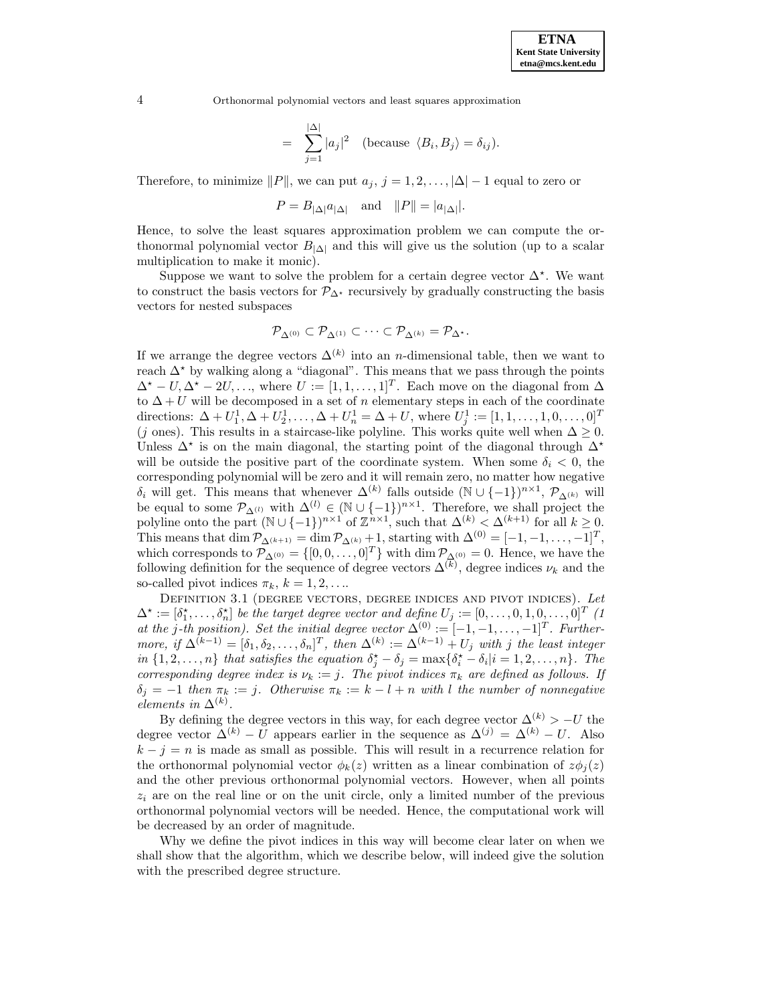$$
= \sum_{j=1}^{|\Delta|} |a_j|^2 \quad \text{(because } \langle B_i, B_j \rangle = \delta_{ij}\text{)}.
$$

Therefore, to minimize  $||P||$ , we can put  $a_j$ ,  $j = 1, 2, \ldots, |\Delta| - 1$  equal to zero or

$$
P = B_{|\Delta|} a_{|\Delta|} \quad \text{and} \quad ||P|| = |a_{|\Delta|}|.
$$

Hence, to solve the least squares approximation problem we can compute the orthonormal polynomial vector  $B_{|\Delta|}$  and this will give us the solution (up to a scalar multiplication to make it monic).

Suppose we want to solve the problem for a certain degree vector  $\Delta^*$ . We want to construct the basis vectors for  $\mathcal{P}_{\Delta^{\star}}$  recursively by gradually constructing the basis vectors for nested subspaces

$$
\mathcal{P}_{\Delta^{(0)}}\subset \mathcal{P}_{\Delta^{(1)}}\subset\cdots\subset \mathcal{P}_{\Delta^{(k)}}=\mathcal{P}_{\Delta^\star}.
$$

If we arrange the degree vectors  $\Delta^{(k)}$  into an *n*-dimensional table, then we want to reach  $\Delta^*$  by walking along a "diagonal". This means that we pass through the points  $\Delta^* - U, \Delta^* - 2U, \ldots$ , where  $U := [1, 1, \ldots, 1]^T$ . Each move on the diagonal from  $\Delta$ to  $\Delta + U$  will be decomposed in a set of n elementary steps in each of the coordinate directions:  $\Delta + U_1^1, \Delta + U_2^1, \ldots, \Delta + U_n^1 = \Delta + U$ , where  $U_j^1 := [1, 1, \ldots, 1, 0, \ldots, 0]^T$ (j ones). This results in a staircase-like polyline. This works quite well when  $\Delta \geq 0$ . Unless  $\Delta^*$  is on the main diagonal, the starting point of the diagonal through  $\Delta^*$ will be outside the positive part of the coordinate system. When some  $\delta_i < 0$ , the corresponding polynomial will be zero and it will remain zero, no matter how negative  $\delta_i$  will get. This means that whenever  $\Delta^{(k)}$  falls outside (N ∪ {-1})<sup>n×1</sup>,  $\mathcal{P}_{\Delta^{(k)}}$  will be equal to some  $\mathcal{P}_{\Delta^{(l)}}$  with  $\Delta^{(l)} \in (\mathbb{N} \cup \{-1\})^{n \times 1}$ . Therefore, we shall project the polyline onto the part  $(\mathbb{N} \cup \{-1\})^{n \times 1}$  of  $\mathbb{Z}^{n \times 1}$ , such that  $\Delta^{(k)} < \Delta^{(k+1)}$  for all  $k \geq 0$ . This means that dim  $\mathcal{P}_{\Delta^{(k+1)}} = \dim \mathcal{P}_{\Delta^{(k)}} + 1$ , starting with  $\Delta^{(0)} = [-1, -1, \ldots, -1]^T$ , which corresponds to  $\mathcal{P}_{\Delta^{(0)}} = \{ [0, 0, \ldots, 0]^T \}$  with  $\dim \mathcal{P}_{\Delta^{(0)}} = 0$ . Hence, we have the following definition for the sequence of degree vectors  $\Delta^{(k)}$ , degree indices  $\nu_k$  and the so-called pivot indices  $\pi_k$ ,  $k = 1, 2, \ldots$ 

DEFINITION 3.1 (DEGREE VECTORS, DEGREE INDICES AND PIVOT INDICES). Let  $\Delta^* := [\delta_1^*, \ldots, \delta_n^*]$  be the target degree vector and define  $U_j := [0, \ldots, 0, 1, 0, \ldots, 0]^T$  (1 at the j-th position). Set the initial degree vector  $\Delta^{(0)} := [-1, -1, \ldots, -1]^T$ . Furthermore, if  $\Delta^{(k-1)} = [\delta_1, \delta_2, \ldots, \delta_n]^T$ , then  $\Delta^{(k)} := \Delta^{(k-1)} + U_j$  with j the least integer in  $\{1, 2, ..., n\}$  that satisfies the equation  $\delta_j^* - \delta_j = \max\{\delta_i^* - \delta_i | i = 1, 2, ..., n\}$ . The corresponding degree index is  $\nu_k := j$ . The pivot indices  $\pi_k$  are defined as follows. If  $\delta_j = -1$  then  $\pi_k := j$ . Otherwise  $\pi_k := k - l + n$  with l the number of nonnegative elements in  $\Delta^{(k)}$ .

By defining the degree vectors in this way, for each degree vector  $\Delta^{(k)} > -U$  the degree vector  $\Delta^{(k)} - U$  appears earlier in the sequence as  $\Delta^{(j)} = \Delta^{(k)} - U$ . Also  $k - j = n$  is made as small as possible. This will result in a recurrence relation for the orthonormal polynomial vector  $\phi_k(z)$  written as a linear combination of  $z\phi_i(z)$ and the other previous orthonormal polynomial vectors. However, when all points  $z_i$  are on the real line or on the unit circle, only a limited number of the previous orthonormal polynomial vectors will be needed. Hence, the computational work will be decreased by an order of magnitude.

Why we define the pivot indices in this way will become clear later on when we shall show that the algorithm, which we describe below, will indeed give the solution with the prescribed degree structure.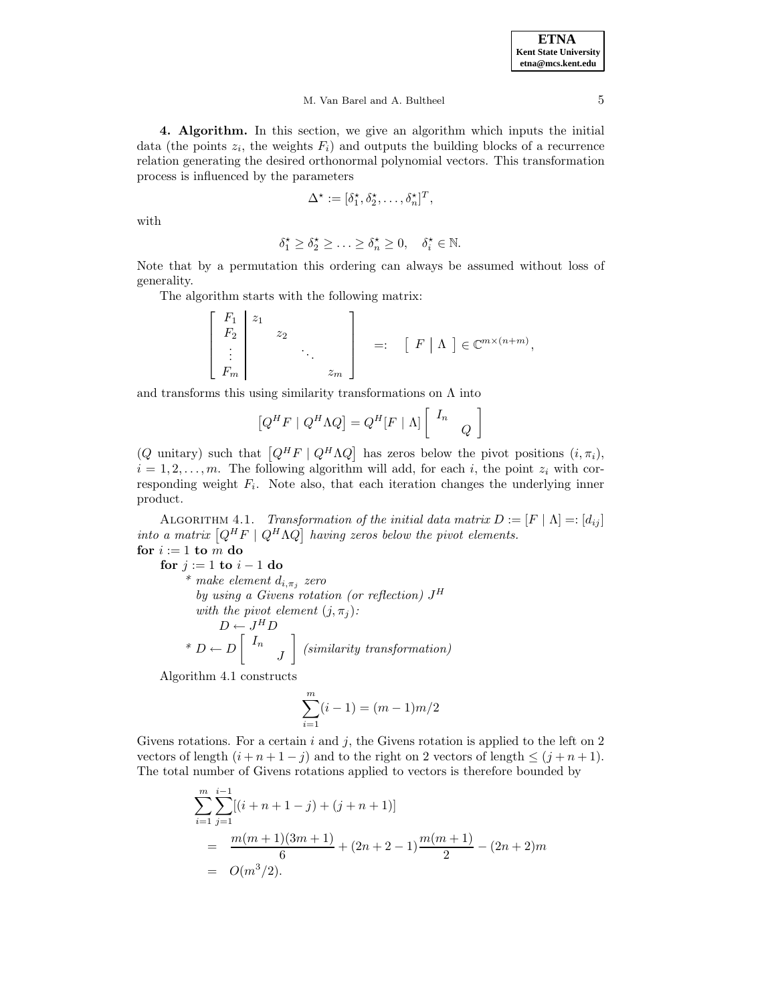#### M. Van Barel and A. Bultheel 5

**4. Algorithm.** In this section, we give an algorithm which inputs the initial data (the points  $z_i$ , the weights  $F_i$ ) and outputs the building blocks of a recurrence relation generating the desired orthonormal polynomial vectors. This transformation process is influenced by the parameters

$$
\Delta^{\star} := [\delta_1^{\star}, \delta_2^{\star}, \dots, \delta_n^{\star}]^T,
$$

with

$$
\delta_1^{\star} \ge \delta_2^{\star} \ge \ldots \ge \delta_n^{\star} \ge 0, \quad \delta_i^{\star} \in \mathbb{N}.
$$

Note that by a permutation this ordering can always be assumed without loss of generality.

The algorithm starts with the following matrix:

$$
\begin{bmatrix} F_1 & z_1 \\ F_2 & z_2 \\ \vdots & \ddots & \vdots \\ F_m & \cdots & z_m \end{bmatrix} =: \begin{bmatrix} F \mid \Lambda \end{bmatrix} \in \mathbb{C}^{m \times (n+m)},
$$

and transforms this using similarity transformations on  $\Lambda$  into

$$
[Q^H F \mid Q^H \Lambda Q] = Q^H [F \mid \Lambda] \begin{bmatrix} I_n & \\ & Q \end{bmatrix}
$$

(Q unitary) such that  $[Q^H F \mid Q^H \Lambda Q]$  has zeros below the pivot positions  $(i, \pi_i)$ ,  $i = 1, 2, \ldots, m$ . The following algorithm will add, for each i, the point  $z_i$  with corresponding weight  $F_i$ . Note also, that each iteration changes the underlying inner product.

ALGORITHM 4.1. Transformation of the initial data matrix  $D := [F \mid \Lambda] =: [d_{ij}]$ into a matrix  $[Q^H F \mid Q^H \Lambda Q]$  having zeros below the pivot elements. for  $i := 1$  **to**  $m$  **do** 

**for**  $j := 1$  **to**  $i - 1$  **do** \* make element  $d_{i,\pi_j}$  zero by using a Givens rotation (or reflection)  $J^H$ with the pivot element  $(j, \pi_j)$ :  $D \leftarrow J^HD$ \*  $D \leftarrow D$   $\left[ \begin{array}{c} I_n \end{array} \right]$ J 1 (similarity transformation)

Algorithm 4.1 constructs

$$
\sum_{i=1}^{m} (i-1) = (m-1)m/2
$$

Givens rotations. For a certain i and j, the Givens rotation is applied to the left on  $2$ vectors of length  $(i + n + 1 - j)$  and to the right on 2 vectors of length  $\leq (j + n + 1)$ . The total number of Givens rotations applied to vectors is therefore bounded by

$$
\sum_{i=1}^{m} \sum_{j=1}^{i-1} [(i+n+1-j) + (j+n+1)]
$$
  
= 
$$
\frac{m(m+1)(3m+1)}{6} + (2n+2-1)\frac{m(m+1)}{2} - (2n+2)m
$$
  
= 
$$
O(m^3/2).
$$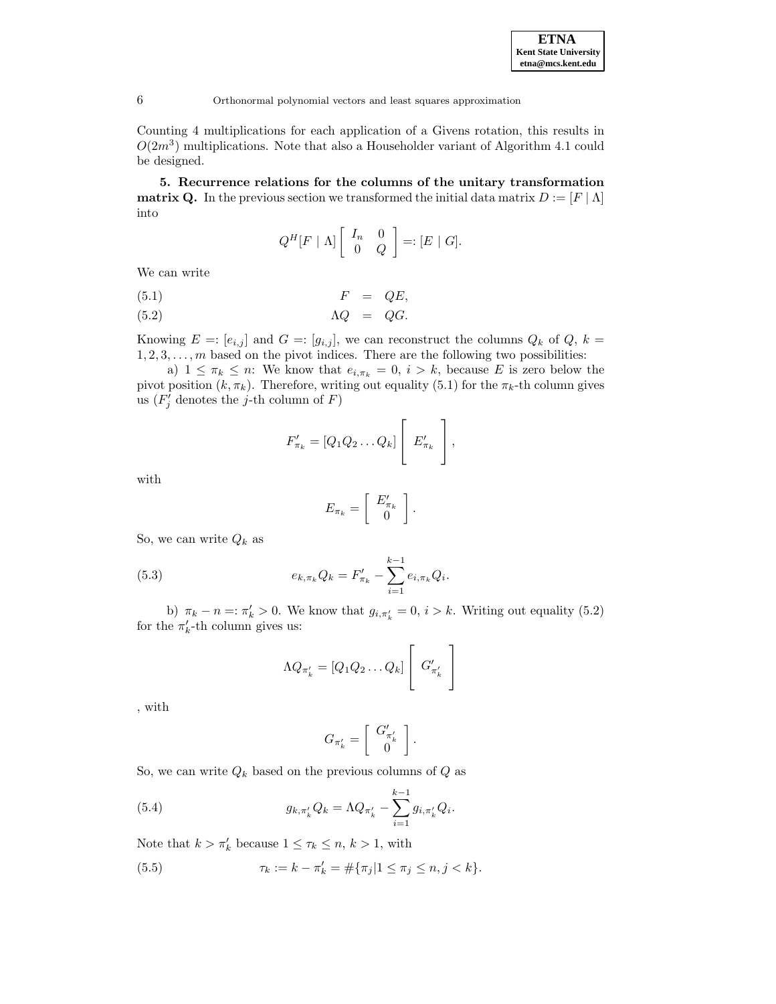Counting 4 multiplications for each application of a Givens rotation, this results in  $O(2m^3)$  multiplications. Note that also a Householder variant of Algorithm 4.1 could be designed.

**5. Recurrence relations for the columns of the unitary transformation matrix Q.** In the previous section we transformed the initial data matrix  $D := [F | \Lambda]$ into

$$
Q^H[F \mid \Lambda] \left[ \begin{array}{cc} I_n & 0 \\ 0 & Q \end{array} \right] =: [E \mid G].
$$

We can write

$$
(5.1) \t\t F = QE,
$$

(5.2) ΛQ = QG.

Knowing  $E = [e_{i,j}]$  and  $G = [g_{i,j}]$ , we can reconstruct the columns  $Q_k$  of  $Q, k =$  $1, 2, 3, \ldots, m$  based on the pivot indices. There are the following two possibilities:

a)  $1 \leq \pi_k \leq n$ : We know that  $e_{i,\pi_k} = 0$ ,  $i > k$ , because E is zero below the pivot position  $(k, \pi_k)$ . Therefore, writing out equality (5.1) for the  $\pi_k$ -th column gives us  $(F'_j$  denotes the j-th column of F)

$$
F'_{\pi_k} = [Q_1 Q_2 \dots Q_k] \left[ E'_{\pi_k} \right],
$$

with

$$
E_{\pi_k} = \left[ \begin{array}{c} E'_{\pi_k} \\ 0 \end{array} \right].
$$

So, we can write  $Q_k$  as

(5.3) 
$$
e_{k,\pi_k}Q_k = F'_{\pi_k} - \sum_{i=1}^{k-1} e_{i,\pi_k}Q_i.
$$

b)  $\pi_k - n = \pi'_k > 0$ . We know that  $g_{i, \pi'_k} = 0$ ,  $i > k$ . Writing out equality (5.2) for the  $\pi'_k$ -th column gives us:

$$
\Lambda Q_{\pi'_k} = [Q_1 Q_2 \dots Q_k] \left[ G'_{\pi'_k} \right]
$$

, with

$$
G_{\pi'_k} = \left[ \begin{array}{c} G'_{\pi'_k} \\ 0 \end{array} \right].
$$

So, we can write  $Q_k$  based on the previous columns of  $Q$  as

(5.4) 
$$
g_{k,\pi'_{k}}Q_{k} = \Lambda Q_{\pi'_{k}} - \sum_{i=1}^{k-1} g_{i,\pi'_{k}}Q_{i}.
$$

Note that  $k > \pi'_k$  because  $1 \leq \tau_k \leq n, k > 1$ , with

(5.5) 
$$
\tau_k := k - \pi'_k = \#\{\pi_j | 1 \leq \pi_j \leq n, j < k\}.
$$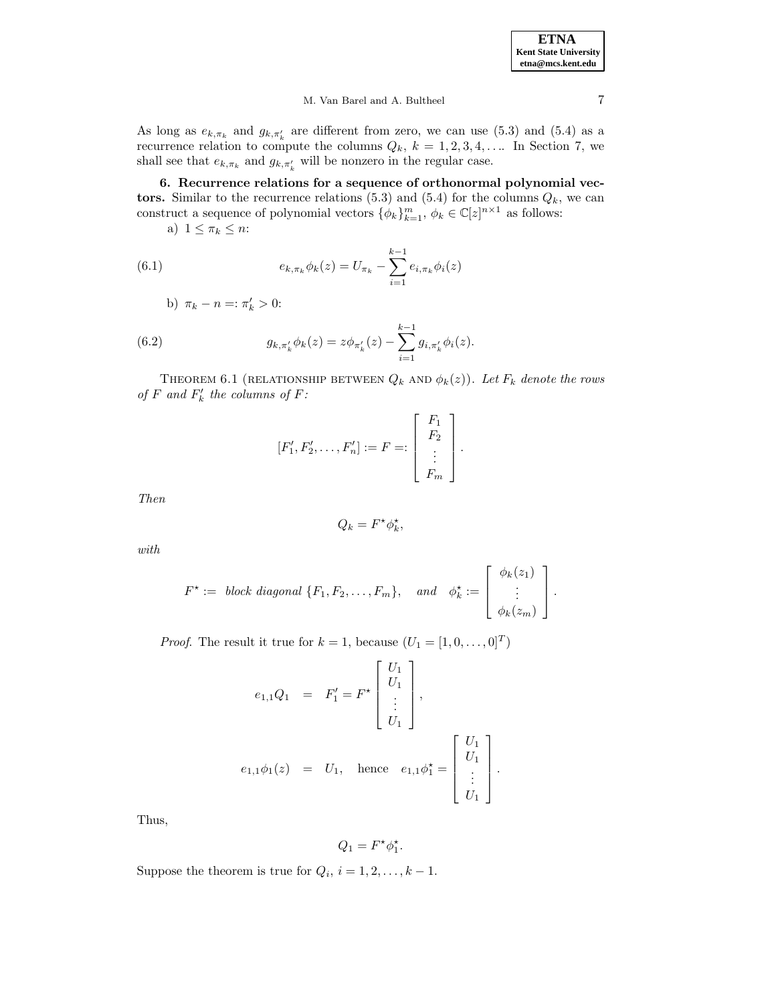M. Van Barel and A. Bultheel 7

As long as  $e_{k,\pi_k}$  and  $g_{k,\pi'_k}$  are different from zero, we can use (5.3) and (5.4) as a recurrence relation to compute the columns  $Q_k$ ,  $k = 1, 2, 3, 4, \ldots$  In Section 7, we shall see that  $e_{k,\pi_k}$  and  $g_{k,\pi'_k}$  will be nonzero in the regular case.

**6. Recurrence relations for a sequence of orthonormal polynomial vec**tors. Similar to the recurrence relations  $(5.3)$  and  $(5.4)$  for the columns  $Q_k$ , we can construct a sequence of polynomial vectors  $\{\phi_k\}_{k=1}^m$ ,  $\phi_k \in \mathbb{C}[z]^{n \times 1}$  as follows:

a)  $1 \leq \pi_k \leq n$ :

(6.1) 
$$
e_{k,\pi_k}\phi_k(z) = U_{\pi_k} - \sum_{i=1}^{k-1} e_{i,\pi_k}\phi_i(z)
$$

b) 
$$
\pi_k - n =: \pi'_k > 0:
$$

(6.2) 
$$
g_{k,\pi'_k}\phi_k(z) = z\phi_{\pi'_k}(z) - \sum_{i=1}^{k-1} g_{i,\pi'_k}\phi_i(z).
$$

THEOREM 6.1 (RELATIONSHIP BETWEEN  $Q_k$  and  $\phi_k(z)$ ). Let  $F_k$  denote the rows of F and  $F'_k$  the columns of F:

$$
[F'_1, F'_2, \dots, F'_n] := F =: \begin{bmatrix} F_1 \\ F_2 \\ \vdots \\ F_m \end{bmatrix}.
$$

Then

$$
Q_k = F^* \phi_k^*,
$$

with

$$
F^* := \text{ block diagonal } \{F_1, F_2, \ldots, F_m\}, \quad \text{and} \quad \phi_k^* := \left[\begin{array}{c} \phi_k(z_1) \\ \vdots \\ \phi_k(z_m) \end{array}\right].
$$

*Proof.* The result it true for  $k = 1$ , because  $(U_1 = [1, 0, \ldots, 0]^T)$ 

$$
e_{1,1}Q_1 = F'_1 = F^* \begin{bmatrix} U_1 \\ U_1 \\ \vdots \\ U_1 \end{bmatrix},
$$
  

$$
e_{1,1}\phi_1(z) = U_1, \text{ hence } e_{1,1}\phi_1^* = \begin{bmatrix} U_1 \\ U_1 \\ \vdots \\ U_1 \end{bmatrix}.
$$

Thus,

$$
Q_1 = F^* \phi_1^*.
$$

Suppose the theorem is true for  $Q_i$ ,  $i = 1, 2, \ldots, k - 1$ .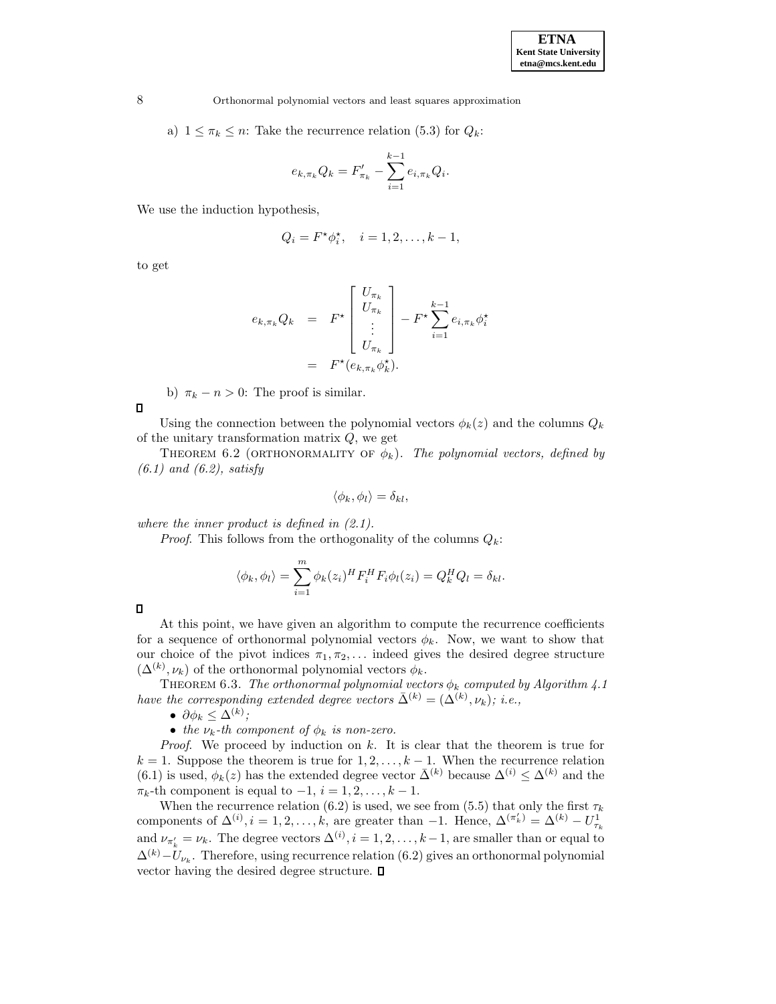a)  $1 \leq \pi_k \leq n$ : Take the recurrence relation (5.3) for  $Q_k$ :

$$
e_{k,\pi_k} Q_k = F'_{\pi_k} - \sum_{i=1}^{k-1} e_{i,\pi_k} Q_i.
$$

We use the induction hypothesis,

$$
Q_i = F^{\star} \phi_i^{\star}, \quad i = 1, 2, \dots, k - 1,
$$

to get

$$
e_{k,\pi_k} Q_k = F^{\star} \begin{bmatrix} U_{\pi_k} \\ U_{\pi_k} \\ \vdots \\ U_{\pi_k} \end{bmatrix} - F^{\star} \sum_{i=1}^{k-1} e_{i,\pi_k} \phi_i^{\star}
$$

$$
= F^{\star} (e_{k,\pi_k} \phi_k^{\star}).
$$

b)  $\pi_k - n > 0$ : The proof is similar.

Using the connection between the polynomial vectors  $\phi_k(z)$  and the columns  $Q_k$ of the unitary transformation matrix  $Q$ , we get

THEOREM 6.2 (ORTHONORMALITY OF  $\phi_k$ ). The polynomial vectors, defined by  $(6.1)$  and  $(6.2)$ , satisfy

$$
\langle \phi_k, \phi_l \rangle = \delta_{kl},
$$

where the inner product is defined in  $(2.1)$ .

*Proof.* This follows from the orthogonality of the columns  $Q_k$ :

$$
\langle \phi_k, \phi_l \rangle = \sum_{i=1}^m \phi_k(z_i)^H F_i^H F_i \phi_l(z_i) = Q_k^H Q_l = \delta_{kl}.
$$

 $\Box$ 

 $\Box$ 

At this point, we have given an algorithm to compute the recurrence coefficients for a sequence of orthonormal polynomial vectors  $\phi_k$ . Now, we want to show that our choice of the pivot indices  $\pi_1, \pi_2, \ldots$  indeed gives the desired degree structure  $(\Delta^{(k)}, \nu_k)$  of the orthonormal polynomial vectors  $\phi_k$ .

THEOREM 6.3. The orthonormal polynomial vectors  $\phi_k$  computed by Algorithm 4.1 have the corresponding extended degree vectors  $\bar{\Delta}^{(k)} = (\bar{\Delta}^{(k)}, \nu_k); i.e.,$ 

•  $\partial \phi_k \leq \Delta^{(k)}$ ;

• the  $\nu_k$ -th component of  $\phi_k$  is non-zero.

*Proof.* We proceed by induction on  $k$ . It is clear that the theorem is true for  $k = 1$ . Suppose the theorem is true for  $1, 2, \ldots, k - 1$ . When the recurrence relation (6.1) is used,  $\phi_k(z)$  has the extended degree vector  $\bar{\Delta}^{(k)}$  because  $\Delta^{(i)} \leq \Delta^{(k)}$  and the  $\pi_k$ -th component is equal to  $-1$ ,  $i = 1, 2, \ldots, k - 1$ .

When the recurrence relation (6.2) is used, we see from (5.5) that only the first  $\tau_k$ components of  $\Delta^{(i)}$ ,  $i = 1, 2, ..., k$ , are greater than  $-1$ . Hence,  $\Delta^{(\pi'_k)} = \Delta^{(k)} - U_{\tau_k}^1$ and  $\nu_{\pi'_k} = \nu_k$ . The degree vectors  $\Delta^{(i)}$ ,  $i = 1, 2, ..., k-1$ , are smaller than or equal to  $\Delta^{(k)}-U_{\nu_k}$ . Therefore, using recurrence relation (6.2) gives an orthonormal polynomial vector having the desired degree structure.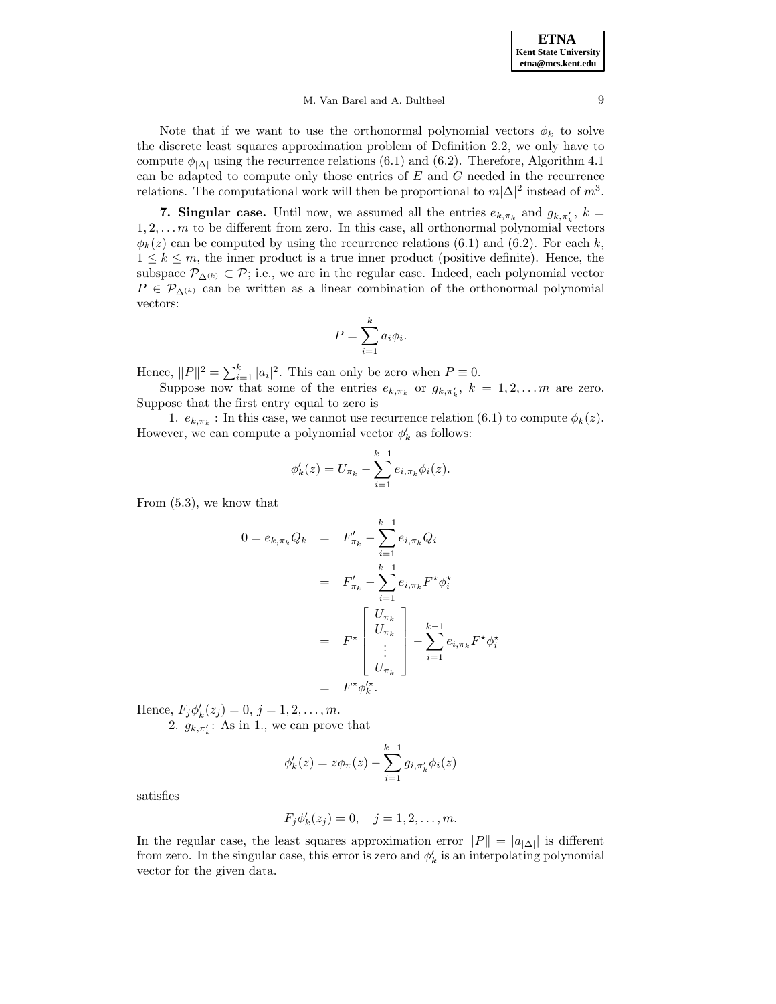## M. Van Barel and A. Bultheel 9

Note that if we want to use the orthonormal polynomial vectors  $\phi_k$  to solve the discrete least squares approximation problem of Definition 2.2, we only have to compute  $\phi_{|\Delta|}$  using the recurrence relations (6.1) and (6.2). Therefore, Algorithm 4.1 can be adapted to compute only those entries of  $E$  and  $G$  needed in the recurrence relations. The computational work will then be proportional to  $m|\Delta|^2$  instead of  $m^3$ .

**7. Singular case.** Until now, we assumed all the entries  $e_{k,\pi_k}$  and  $g_{k,\pi'_k}$ ,  $k =$  $1, 2, \ldots$  m to be different from zero. In this case, all orthonormal polynomial vectors  $\phi_k(z)$  can be computed by using the recurrence relations (6.1) and (6.2). For each k,  $1 \leq k \leq m$ , the inner product is a true inner product (positive definite). Hence, the subspace  $\mathcal{P}_{\Delta^{(k)}} \subset \mathcal{P}$ ; i.e., we are in the regular case. Indeed, each polynomial vector  $P \in \mathcal{P}_{\Delta^{(k)}}$  can be written as a linear combination of the orthonormal polynomial vectors:

$$
P = \sum_{i=1}^{k} a_i \phi_i.
$$

Hence,  $||P||^2 = \sum_{i=1}^k |a_i|^2$ . This can only be zero when  $P \equiv 0$ .

Suppose now that some of the entries  $e_{k,\pi_k}$  or  $g_{k,\pi'_k}$ ,  $k = 1, 2, \ldots m$  are zero. Suppose that the first entry equal to zero is

1.  $e_{k,\pi_k}$ : In this case, we cannot use recurrence relation (6.1) to compute  $\phi_k(z)$ . However, we can compute a polynomial vector  $\phi'_k$  as follows:

$$
\phi'_{k}(z) = U_{\pi_{k}} - \sum_{i=1}^{k-1} e_{i, \pi_{k}} \phi_{i}(z).
$$

From (5.3), we know that

$$
0 = e_{k,\pi_k} Q_k = F'_{\pi_k} - \sum_{i=1}^{k-1} e_{i,\pi_k} Q_i
$$
  
=  $F'_{\pi_k} - \sum_{i=1}^{k-1} e_{i,\pi_k} F^* \phi_i^*$   
=  $F^* \begin{bmatrix} U_{\pi_k} \\ U_{\pi_k} \\ \vdots \\ U_{\pi_k} \end{bmatrix} - \sum_{i=1}^{k-1} e_{i,\pi_k} F^* \phi_i^*$   
=  $F^* \phi_k^*$ .

Hence,  $F_j \phi'_k(z_j) = 0, j = 1, 2, ..., m$ .

2.  $g_{k,\pi'_k}$ : As in 1., we can prove that

$$
\phi'_{k}(z) = z\phi_{\pi}(z) - \sum_{i=1}^{k-1} g_{i,\pi'_{k}}\phi_{i}(z)
$$

satisfies

$$
F_j \phi'_k(z_j) = 0, \quad j = 1, 2, ..., m.
$$

In the regular case, the least squares approximation error  $||P|| = |a_{|\Delta|}||$  is different from zero. In the singular case, this error is zero and  $\phi'_k$  is an interpolating polynomial vector for the given data.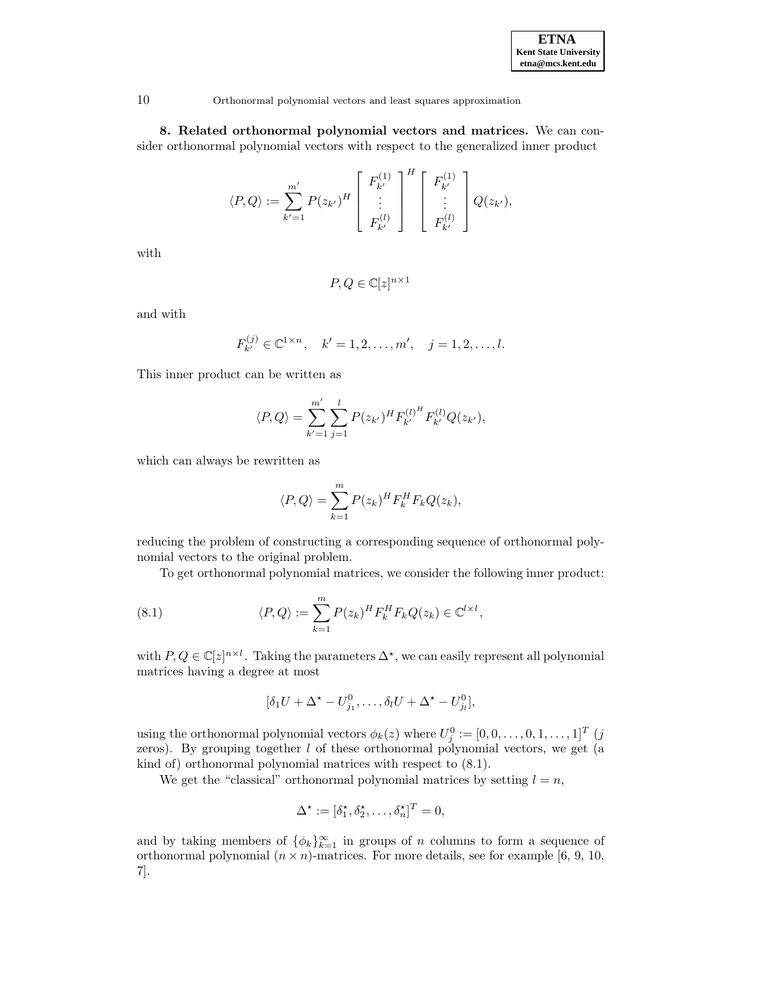

**8. Related orthonormal polynomial vectors and matrices.** We can consider orthonormal polynomial vectors with respect to the generalized inner product

$$
\langle P, Q \rangle := \sum_{k'=1}^{m'} P(z_{k'})^H \left[ \begin{array}{c} F_{k'}^{(1)} \\ \vdots \\ F_{k'}^{(l)} \end{array} \right]^H \left[ \begin{array}{c} F_{k'}^{(1)} \\ \vdots \\ F_{k'}^{(l)} \end{array} \right] Q(z_{k'}),
$$

with

$$
P,Q\in\mathbb{C}[z]^{n\times 1}
$$

and with

$$
F_{k'}^{(j)} \in \mathbb{C}^{1 \times n}
$$
,  $k' = 1, 2, ..., m'$ ,  $j = 1, 2, ..., l$ .

This inner product can be written as

$$
\langle P, Q \rangle = \sum_{k'=1}^{m'} \sum_{j=1}^{l} P(z_{k'})^H F_{k'}^{(l)^H} F_{k'}^{(l)} Q(z_{k'}),
$$

which can always be rewritten as

$$
\langle P, Q \rangle = \sum_{k=1}^{m} P(z_k)^H F_k^H F_k Q(z_k),
$$

reducing the problem of constructing a corresponding sequence of orthonormal polynomial vectors to the original problem.

To get orthonormal polynomial matrices, we consider the following inner product:

(8.1) 
$$
\langle P, Q \rangle := \sum_{k=1}^{m} P(z_k)^H F_k^H F_k Q(z_k) \in \mathbb{C}^{l \times l},
$$

with  $P, Q \in \mathbb{C}[z]^{n \times l}$ . Taking the parameters  $\Delta^*$ , we can easily represent all polynomial matrices having a degree at most

$$
[\delta_1 U + \Delta^* - U_{j_1}^0, \dots, \delta_l U + \Delta^* - U_{j_l}^0],
$$

using the orthonormal polynomial vectors  $\phi_k(z)$  where  $U_j^0 := [0, 0, \ldots, 0, 1, \ldots, 1]^T$  (j zeros). By grouping together  $l$  of these orthonormal polynomial vectors, we get (a kind of) orthonormal polynomial matrices with respect to (8.1).

We get the "classical" orthonormal polynomial matrices by setting  $l = n$ ,

$$
\Delta^* := [\delta_1^*, \delta_2^*, \dots, \delta_n^*]^T = 0,
$$

and by taking members of  $\{\phi_k\}_{k=1}^{\infty}$  in groups of n columns to form a sequence of orthonormal polynomial  $(n \times n)$ -matrices. For more details, see for example [6, 9, 10, 7].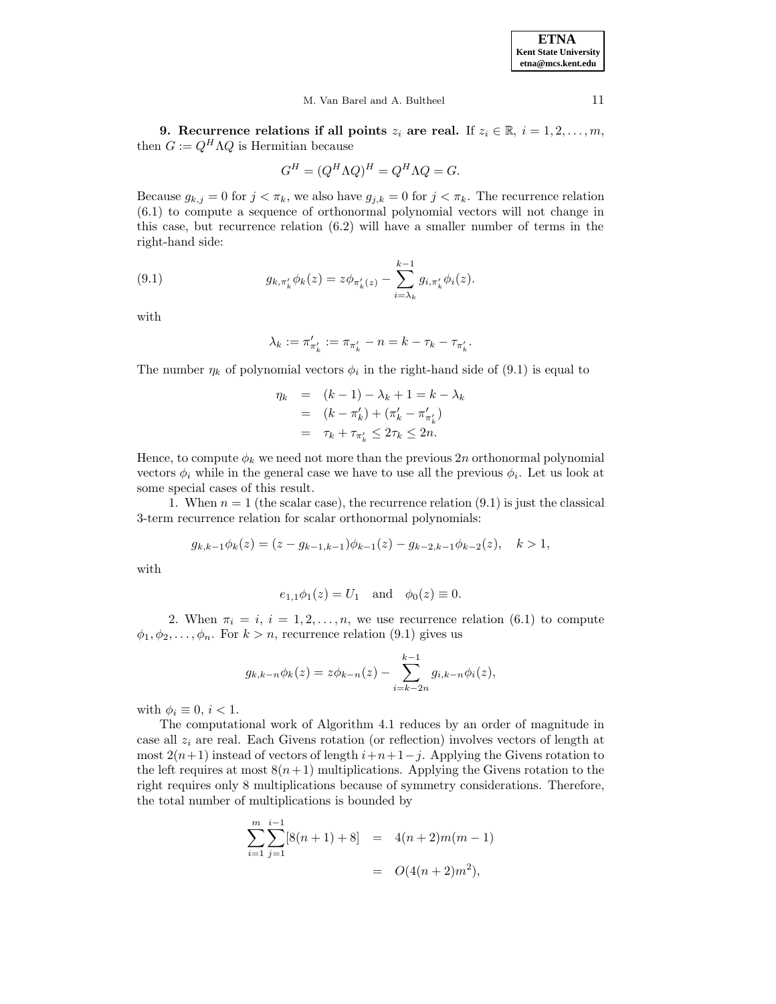#### M. Van Barel and A. Bultheel 11

**9. Recurrence relations if all points**  $z_i$  are real. If  $z_i \in \mathbb{R}, i = 1, 2, \ldots, m$ , then  $G := Q^H \Lambda Q$  is Hermitian because

$$
G^H = (Q^H \Lambda Q)^H = Q^H \Lambda Q = G.
$$

Because  $g_{k,j} = 0$  for  $j < \pi_k$ , we also have  $g_{j,k} = 0$  for  $j < \pi_k$ . The recurrence relation (6.1) to compute a sequence of orthonormal polynomial vectors will not change in this case, but recurrence relation (6.2) will have a smaller number of terms in the right-hand side:

(9.1) 
$$
g_{k,\pi'_k}\phi_k(z) = z\phi_{\pi'_k(z)} - \sum_{i=\lambda_k}^{k-1} g_{i,\pi'_k}\phi_i(z).
$$

with

$$
\lambda_k := \pi'_{\pi'_k} := \pi_{\pi'_k} - n = k - \tau_k - \tau_{\pi'_k}.
$$

The number  $\eta_k$  of polynomial vectors  $\phi_i$  in the right-hand side of (9.1) is equal to

$$
\eta_k = (k-1) - \lambda_k + 1 = k - \lambda_k \n= (k - \pi'_k) + (\pi'_k - \pi'_{\pi'_k}) \n= \tau_k + \tau_{\pi'_k} \le 2\tau_k \le 2n.
$$

Hence, to compute  $\phi_k$  we need not more than the previous 2n orthonormal polynomial vectors  $\phi_i$  while in the general case we have to use all the previous  $\phi_i$ . Let us look at some special cases of this result.

1. When  $n = 1$  (the scalar case), the recurrence relation (9.1) is just the classical 3-term recurrence relation for scalar orthonormal polynomials:

$$
g_{k,k-1}\phi_k(z) = (z - g_{k-1,k-1})\phi_{k-1}(z) - g_{k-2,k-1}\phi_{k-2}(z), \quad k > 1,
$$

with

$$
e_{1,1}\phi_1(z) = U_1
$$
 and  $\phi_0(z) \equiv 0$ .

2. When  $\pi_i = i$ ,  $i = 1, 2, ..., n$ , we use recurrence relation (6.1) to compute  $\phi_1, \phi_2, \ldots, \phi_n$ . For  $k > n$ , recurrence relation (9.1) gives us

$$
g_{k,k-n}\phi_k(z) = z\phi_{k-n}(z) - \sum_{i=k-2n}^{k-1} g_{i,k-n}\phi_i(z),
$$

with  $\phi_i \equiv 0, i < 1$ .

The computational work of Algorithm 4.1 reduces by an order of magnitude in case all  $z_i$  are real. Each Givens rotation (or reflection) involves vectors of length at most  $2(n+1)$  instead of vectors of length  $i+n+1-j$ . Applying the Givens rotation to the left requires at most  $8(n+1)$  multiplications. Applying the Givens rotation to the right requires only 8 multiplications because of symmetry considerations. Therefore, the total number of multiplications is bounded by

$$
\sum_{i=1}^{m} \sum_{j=1}^{i-1} [8(n+1) + 8] = 4(n+2)m(m-1)
$$
  
=  $O(4(n+2)m^2)$ ,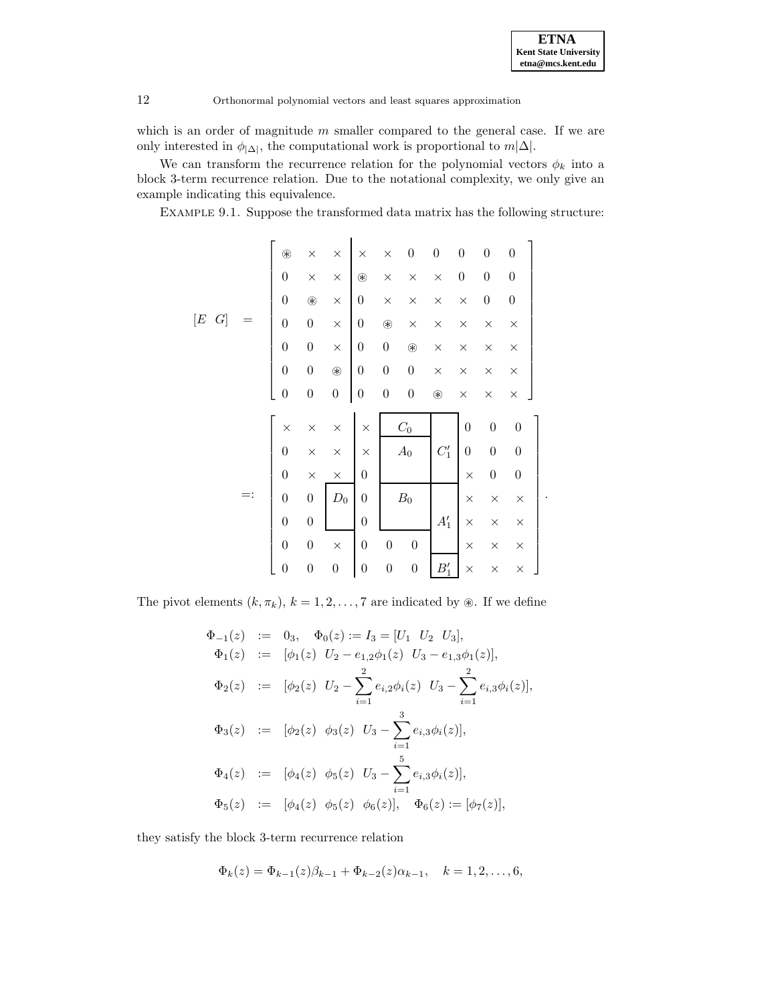which is an order of magnitude  $m$  smaller compared to the general case. If we are only interested in  $\phi_{|\Delta|}$ , the computational work is proportional to  $m|\Delta|$ .

We can transform the recurrence relation for the polynomial vectors  $\phi_k$  into a block 3-term recurrence relation. Due to the notational complexity, we only give an example indicating this equivalence.

Example 9.1. Suppose the transformed data matrix has the following structure:

|           | ⊛                | $\times$         | $\times$         | $\times$         | $\times$         | $\boldsymbol{0}$ | $\boldsymbol{0}$ | $\boldsymbol{0}$ | $\boldsymbol{0}$ | $\boldsymbol{0}$ |  |
|-----------|------------------|------------------|------------------|------------------|------------------|------------------|------------------|------------------|------------------|------------------|--|
|           | $\boldsymbol{0}$ | $\times$         | $\times$         | ⊛                | $\times$         | $\times$         | $\times$         | $\boldsymbol{0}$ | $\boldsymbol{0}$ | $\boldsymbol{0}$ |  |
|           | $\boldsymbol{0}$ | $^\circledR$     | $\times$         | $\boldsymbol{0}$ | $\times$         | $\times$         | $\times$         | $\times$         | $\boldsymbol{0}$ | $\boldsymbol{0}$ |  |
| [E]<br> G | $\overline{0}$   | $\boldsymbol{0}$ | $\times$         | $\boldsymbol{0}$ | ⊛                | $\times$         | $\times$         | $\times$         | $\times$         | $\times$         |  |
|           | $\overline{0}$   | $\boldsymbol{0}$ | $\times$         | $\boldsymbol{0}$ | $\boldsymbol{0}$ | $^\circledR$     | $\times$         | $\times$         | $\times$         | $\times$         |  |
|           | $\overline{0}$   | $\overline{0}$   | $^\circledR$     | $\boldsymbol{0}$ | $\boldsymbol{0}$ | $\boldsymbol{0}$ | $\times$         | $\times$         | $\times$         | $\times$         |  |
|           | $\boldsymbol{0}$ | $\overline{0}$   | $\boldsymbol{0}$ | $\boldsymbol{0}$ | $\boldsymbol{0}$ | $\boldsymbol{0}$ | $^\circledR$     | $\times$         | $\times$         | $\times$         |  |
|           | $\times$         | $\times$         | $\times$         | $\times$         |                  | $\mathcal{C}_0$  |                  | $\overline{0}$   | $\boldsymbol{0}$ | $\boldsymbol{0}$ |  |
|           | $\overline{0}$   | $\times$         | $\times$         | $\times$         |                  | $A_0$            | $C_1'$           | $\overline{0}$   | $\overline{0}$   | $\overline{0}$   |  |
|           | $\boldsymbol{0}$ | $\times$         | $\times$         | $\boldsymbol{0}$ |                  |                  |                  | $\times$         | $\boldsymbol{0}$ | $\boldsymbol{0}$ |  |
|           | $\overline{0}$   | $\overline{0}$   | $\mathcal{D}_0$  | $\boldsymbol{0}$ |                  | $\mathcal{B}_0$  |                  | $\times$         | $\times$         | $\times$         |  |
|           | $\boldsymbol{0}$ | $\overline{0}$   |                  | $\boldsymbol{0}$ |                  |                  | $A'_1$           | $\times$         | $\times$         | $\times$         |  |
|           | $\overline{0}$   | $\boldsymbol{0}$ | $\times$         | $\boldsymbol{0}$ | $\boldsymbol{0}$ | $\overline{0}$   |                  | $\times$         | $\times$         | $\times$         |  |
|           | $\boldsymbol{0}$ | $\boldsymbol{0}$ | $\boldsymbol{0}$ | $\boldsymbol{0}$ | $\boldsymbol{0}$ | $\overline{0}$   | $B_1'$           | $\times$         | $\times$         | $\times$         |  |

The pivot elements  $(k, \pi_k)$ ,  $k = 1, 2, ..., 7$  are indicated by  $\circledast$ . If we define

$$
\Phi_{-1}(z) := 0_3, \quad \Phi_0(z) := I_3 = [U_1 \ U_2 \ U_3],
$$
  
\n
$$
\Phi_1(z) := [\phi_1(z) \ U_2 - e_{1,2}\phi_1(z) \ U_3 - e_{1,3}\phi_1(z)],
$$
  
\n
$$
\Phi_2(z) := [\phi_2(z) \ U_2 - \sum_{i=1}^2 e_{i,2}\phi_i(z) \ U_3 - \sum_{i=1}^2 e_{i,3}\phi_i(z)],
$$
  
\n
$$
\Phi_3(z) := [\phi_2(z) \ \phi_3(z) \ U_3 - \sum_{i=1}^3 e_{i,3}\phi_i(z)],
$$
  
\n
$$
\Phi_4(z) := [\phi_4(z) \ \phi_5(z) \ U_3 - \sum_{i=1}^5 e_{i,3}\phi_i(z)],
$$
  
\n
$$
\Phi_5(z) := [\phi_4(z) \ \phi_5(z) \ \phi_6(z)], \quad \Phi_6(z) := [\phi_7(z)],
$$

they satisfy the block 3-term recurrence relation

$$
\Phi_k(z) = \Phi_{k-1}(z)\beta_{k-1} + \Phi_{k-2}(z)\alpha_{k-1}, \quad k = 1, 2, \dots, 6,
$$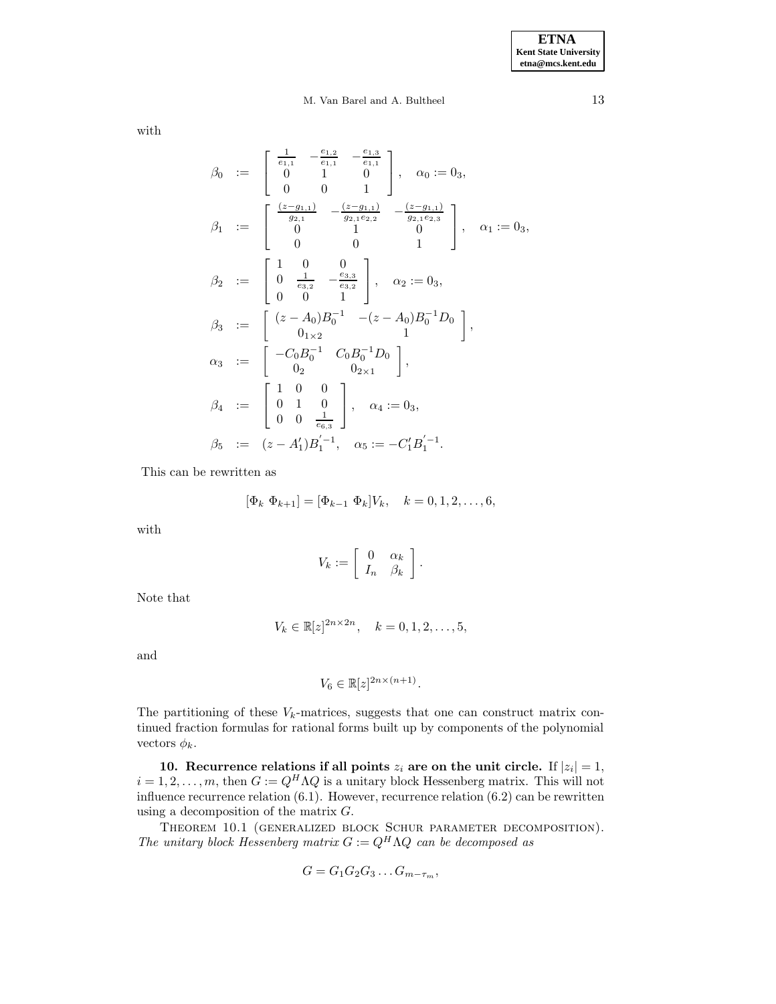with

$$
\beta_0 \quad := \quad \begin{bmatrix}\n\frac{1}{e_{1,1}} & -\frac{e_{1,2}}{e_{1,1}} & -\frac{e_{1,3}}{e_{1,1}} \\
0 & 1 & 0 \\
0 & 0 & 1\n\end{bmatrix}, \quad \alpha_0 := 0_3,
$$
\n
$$
\beta_1 \quad := \quad \begin{bmatrix}\n\frac{(z-g_{1,1})}{g_{2,1}} & -\frac{(z-g_{1,1})}{g_{2,1}e_{2,2}} & -\frac{(z-g_{1,1})}{g_{2,1}e_{2,3}} \\
0 & 1 & 0 \\
0 & 0 & 1\n\end{bmatrix}, \quad \alpha_1 := 0_3,
$$
\n
$$
\beta_2 \quad := \quad \begin{bmatrix}\n1 & 0 & 0 \\
0 & \frac{1}{e_{3,2}} & -\frac{e_{3,3}}{e_{3,2}} \\
0 & 0 & 1\n\end{bmatrix}, \quad \alpha_2 := 0_3,
$$
\n
$$
\beta_3 \quad := \quad \begin{bmatrix}\n(z-A_0)B_0^{-1} & -(z-A_0)B_0^{-1}D_0 \\
0_{1\times 2} & 1\n\end{bmatrix},
$$
\n
$$
\alpha_3 \quad := \quad \begin{bmatrix}\n-C_0B_0^{-1} & C_0B_0^{-1}D_0 \\
0_2 & 0_{2\times 1}\n\end{bmatrix},
$$
\n
$$
\beta_4 \quad := \quad \begin{bmatrix}\n1 & 0 & 0 \\
0 & 1 & 0 \\
0 & 0 & \frac{1}{e_{6,3}}\n\end{bmatrix}, \quad \alpha_4 := 0_3,
$$
\n
$$
\beta_5 \quad := \quad (z-A_1')B_1^{'-1}, \quad \alpha_5 := -C_1'B_1^{'-1}.
$$

This can be rewritten as

$$
[\Phi_k \ \Phi_{k+1}] = [\Phi_{k-1} \ \Phi_k] V_k, \quad k = 0, 1, 2, \dots, 6,
$$

with

$$
V_k := \left[ \begin{array}{cc} 0 & \alpha_k \\ I_n & \beta_k \end{array} \right].
$$

Note that

$$
V_k \in \mathbb{R}[z]^{2n \times 2n}, \quad k = 0, 1, 2, \dots, 5,
$$

and

$$
V_6 \in \mathbb{R}[z]^{2n \times (n+1)}.
$$

The partitioning of these  $V_k$ -matrices, suggests that one can construct matrix continued fraction formulas for rational forms built up by components of the polynomial vectors  $\phi_k$ .

**10. Recurrence relations if all points**  $z_i$  are on the unit circle. If  $|z_i| = 1$ ,  $i = 1, 2, \ldots, m$ , then  $G := Q^H \Lambda Q$  is a unitary block Hessenberg matrix. This will not influence recurrence relation (6.1). However, recurrence relation (6.2) can be rewritten using a decomposition of the matrix  $G$ .

Theorem 10.1 (generalized block Schur parameter decomposition). The unitary block Hessenberg matrix  $G := Q^H \Lambda Q$  can be decomposed as

$$
G=G_1G_2G_3\ldots G_{m-\tau_m},
$$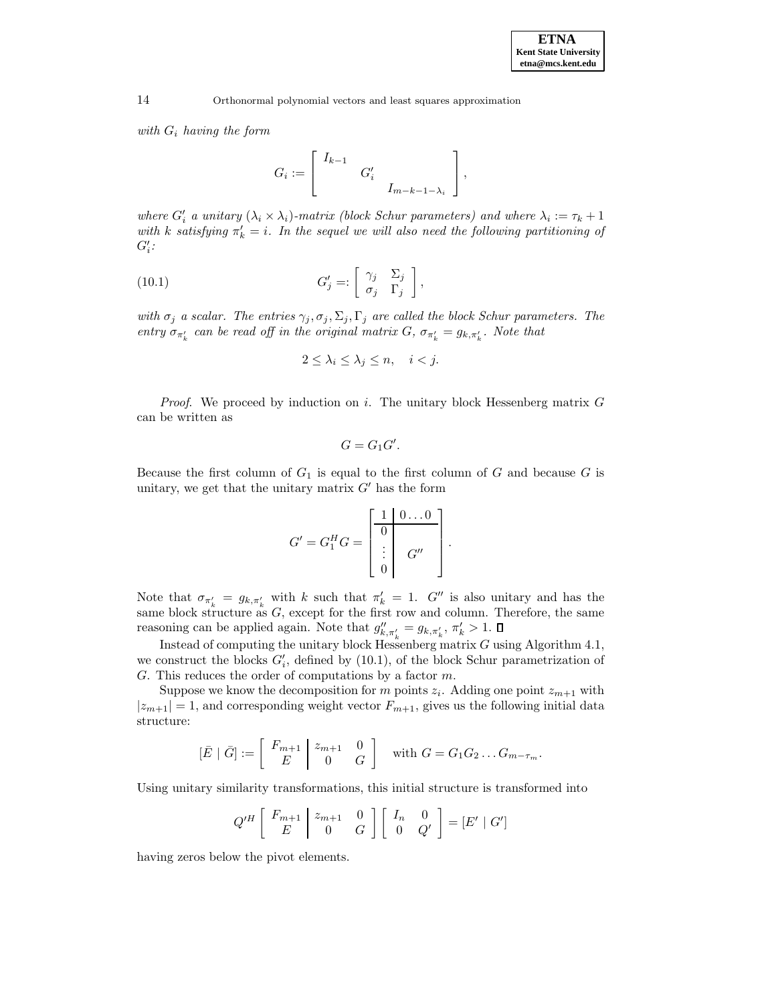with  $G_i$  having the form

$$
G_i := \left[ \begin{array}{ccc} I_{k-1} & & \\ & G'_i & \\ & & I_{m-k-1-\lambda_i} \end{array} \right],
$$

where  $G_i'$  a unitary  $(\lambda_i \times \lambda_i)$ -matrix (block Schur parameters) and where  $\lambda_i := \tau_k + 1$ with k satisfying  $\pi'_k = i$ . In the sequel we will also need the following partitioning of  $G_i^\prime$  :

(10.1) 
$$
G'_{j} =: \begin{bmatrix} \gamma_{j} & \Sigma_{j} \\ \sigma_{j} & \Gamma_{j} \end{bmatrix},
$$

with  $\sigma_j$  a scalar. The entries  $\gamma_j, \sigma_j, \Sigma_j, \Gamma_j$  are called the block Schur parameters. The entry  $\sigma_{\pi'_k}$  can be read off in the original matrix G,  $\sigma_{\pi'_k} = g_{k,\pi'_k}$ . Note that

$$
2 \le \lambda_i \le \lambda_j \le n, \quad i < j.
$$

*Proof.* We proceed by induction on i. The unitary block Hessenberg matrix  $G$ can be written as

$$
G=G_1G'.
$$

Because the first column of  $G_1$  is equal to the first column of  $G$  and because  $G$  is unitary, we get that the unitary matrix  $G'$  has the form

$$
G' = G_1^H G = \begin{bmatrix} 1 & 0 \dots 0 \\ 0 & \vdots \\ \vdots & G'' \\ 0 & \end{bmatrix}.
$$

Note that  $\sigma_{\pi'_{k}} = g_{k,\pi'_{k}}$  with k such that  $\pi'_{k} = 1$ . G'' is also unitary and has the same block structure as  $G$ , except for the first row and column. Therefore, the same reasoning can be applied again. Note that  $g_{k,\pi'_{k}}'' = g_{k,\pi'_{k}}$ ,  $\pi'_{k} > 1$ .

Instead of computing the unitary block Hessenberg matrix  $G$  using Algorithm 4.1, we construct the blocks  $G_i'$ , defined by (10.1), of the block Schur parametrization of G. This reduces the order of computations by a factor  $m$ .

Suppose we know the decomposition for m points  $z_i$ . Adding one point  $z_{m+1}$  with  $|z_{m+1}| = 1$ , and corresponding weight vector  $F_{m+1}$ , gives us the following initial data structure:

$$
[\bar{E} \mid \bar{G}] := \begin{bmatrix} F_{m+1} & z_{m+1} & 0 \\ E & 0 & G \end{bmatrix} \text{ with } G = G_1 G_2 \dots G_{m-\tau_m}.
$$

Using unitary similarity transformations, this initial structure is transformed into

$$
Q'^H \left[ \begin{array}{c|c} F_{m+1} & z_{m+1} & 0 \\ E & 0 & G \end{array} \right] \left[ \begin{array}{cc} I_n & 0 \\ 0 & Q' \end{array} \right] = [E' \mid G']
$$

having zeros below the pivot elements.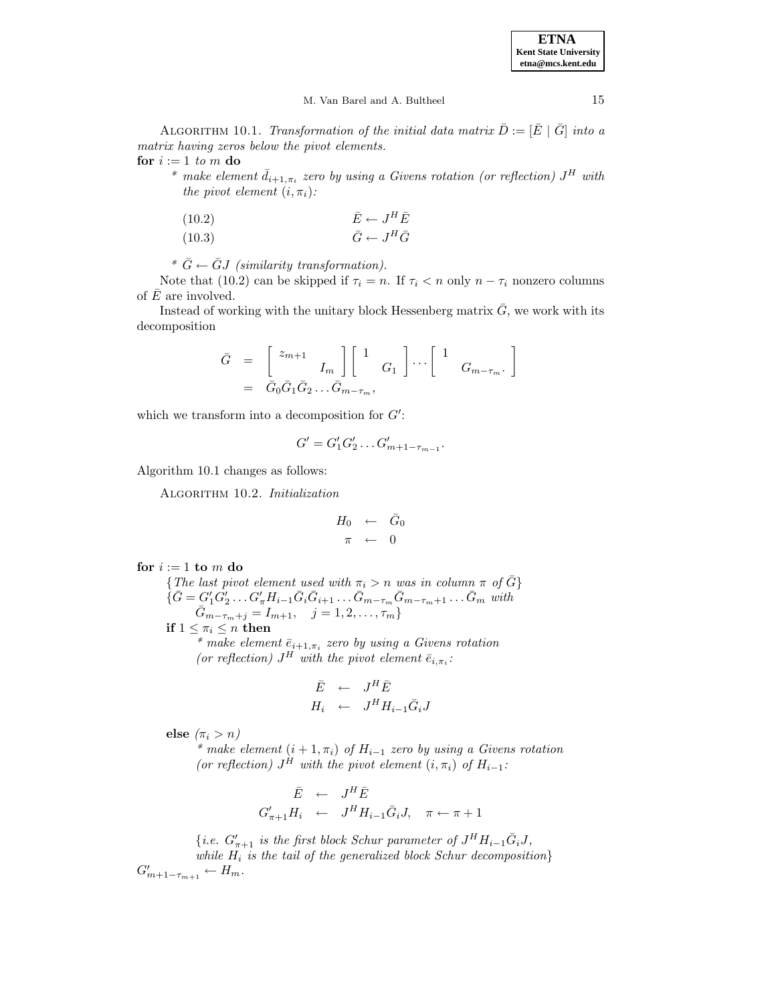#### M. Van Barel and A. Bultheel 15

ALGORITHM 10.1. Transformation of the initial data matrix  $\bar{D} := [\bar{E} \mid \bar{G}]$  into a matrix having zeros below the pivot elements. **for**  $i := 1$  to m **do** 

\* make element  $\bar{d}_{i+1,\pi_i}$  zero by using a Givens rotation (or reflection)  $J^H$  with the pivot element  $(i, \pi_i)$ :

(10.2) 
$$
\begin{aligned}\n\bar{E} &\leftarrow J^H \bar{E} \\
(10.3) &\qquad \bar{G} &\leftarrow J^H \bar{G}\n\end{aligned}
$$

\*  $\bar{G} \leftarrow \bar{G}J$  (similarity transformation).

Note that (10.2) can be skipped if  $\tau_i = n$ . If  $\tau_i < n$  only  $n - \tau_i$  nonzero columns of  $\overline{E}$  are involved.

Instead of working with the unitary block Hessenberg matrix  $\bar{G}$ , we work with its decomposition

$$
\begin{array}{rcl}\n\bar{G} & = & \left[ \begin{array}{cc} z_{m+1} & \\ & I_m \end{array} \right] \left[ \begin{array}{cc} 1 & \\ & G_1 \end{array} \right] \cdots \left[ \begin{array}{cc} 1 & \\ & G_{m-\tau_m} \end{array} \right] \\
& = & \bar{G}_0 \bar{G}_1 \bar{G}_2 \ldots \bar{G}_{m-\tau_m},\n\end{array}
$$

which we transform into a decomposition for  $G'$ :

$$
G' = G'_1 G'_2 \dots G'_{m+1-\tau_{m-1}}.
$$

Algorithm 10.1 changes as follows:

ALGORITHM 10.2. Initialization

$$
H_0 \leftarrow \bar{G}_0
$$

$$
\pi \leftarrow 0
$$

for  $i := 1$  **to**  $m$  **do** 

{The last pivot element used with  $\pi_i > n$  was in column  $\pi$  of  $\overline{G}$ }  $\{ \bar{G} = G_1' G_2' \dots G_{\pi}' H_{i-1} \bar{G}_i \bar{G}_{i+1} \dots \bar{G}_{m-\tau_m} \bar{G}_{m-\tau_m+1} \dots \bar{G}_m \text{ with }$  $\bar{G}_{m-\tau_m+j} = I_{m+1}, \quad j = 1, 2, \ldots, \tau_m$ **if**  $1 \leq \pi_i \leq n$  **then** \* make element  $\bar{e}_{i+1,\pi_i}$  zero by using a Givens rotation

(or reflection)  $J^H$  with the pivot element  $\bar{e}_{i,\pi_i}$ :

$$
\begin{array}{rcl}\n\bar{E} & \leftarrow & J^H \bar{E} \\
H_i & \leftarrow & J^H H_{i-1} \bar{G}_i J\n\end{array}
$$

**else**  $(\pi_i > n)$ 

\* make element  $(i + 1, \pi_i)$  of  $H_{i-1}$  zero by using a Givens rotation (or reflection)  $J^H$  with the pivot element  $(i, \pi_i)$  of  $H_{i-1}$ :

$$
\begin{array}{rcl}\n\bar{E} & \leftarrow & J^H \bar{E} \\
G'_{\pi+1} H_i & \leftarrow & J^H H_{i-1} \bar{G}_i J, \quad \pi \leftarrow \pi + 1\n\end{array}
$$

{*i.e.*  $G'_{\pi+1}$  *is the first block Schur parameter of*  $J^H H_{i-1} \bar{G}_i J$ , while  $H_i$  is the tail of the generalized block Schur decomposition}  $G'_{m+1-\tau_{m+1}} \leftarrow H_m.$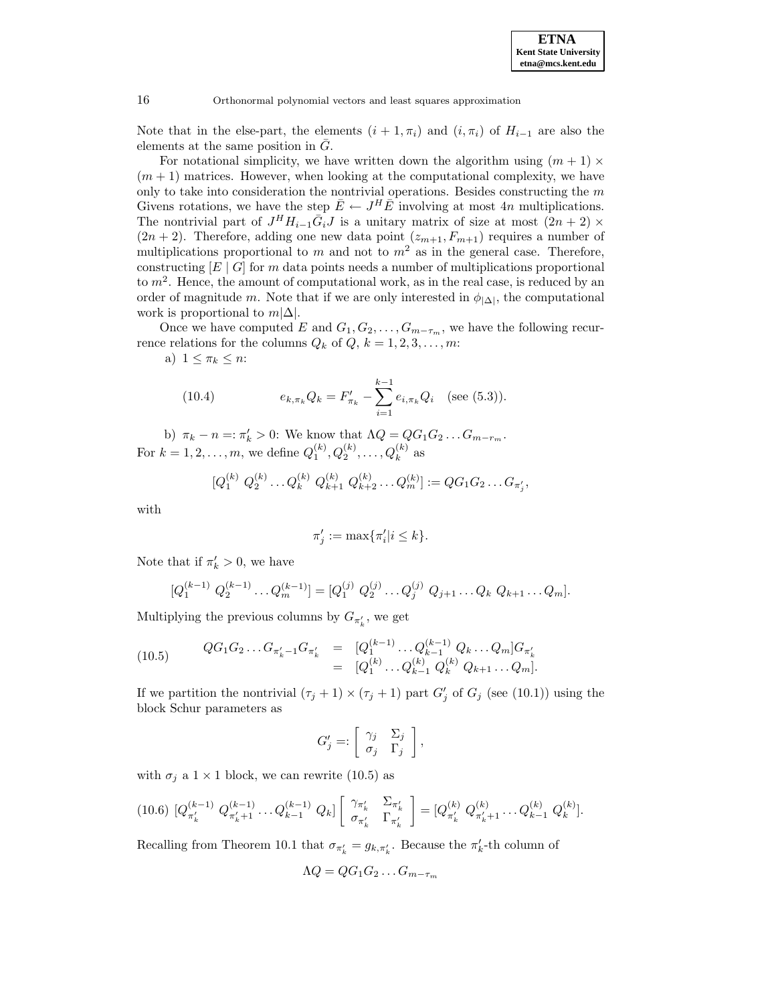

Note that in the else-part, the elements  $(i + 1, \pi_i)$  and  $(i, \pi_i)$  of  $H_{i-1}$  are also the elements at the same position in  $G$ .

For notational simplicity, we have written down the algorithm using  $(m + 1) \times$  $(m+1)$  matrices. However, when looking at the computational complexity, we have only to take into consideration the nontrivial operations. Besides constructing the  $m$ Givens rotations, we have the step  $\overline{E} \leftarrow J^H \overline{E}$  involving at most 4n multiplications. The nontrivial part of  $J^H H_{i-1} \bar{G}_i J$  is a unitary matrix of size at most  $(2n + 2) \times$  $(2n + 2)$ . Therefore, adding one new data point  $(z_{m+1}, F_{m+1})$  requires a number of multiplications proportional to m and not to  $m^2$  as in the general case. Therefore, constructing  $[E \mid G]$  for m data points needs a number of multiplications proportional to  $m<sup>2</sup>$ . Hence, the amount of computational work, as in the real case, is reduced by an order of magnitude m. Note that if we are only interested in  $\phi_{|\Delta|}$ , the computational work is proportional to  $m|\Delta|$ .

Once we have computed E and  $G_1, G_2, \ldots, G_{m-\tau_m}$ , we have the following recurrence relations for the columns  $Q_k$  of  $Q, k = 1, 2, 3, \ldots, m$ :

a)  $1 \leq \pi_k \leq n$ :

(10.4) 
$$
e_{k,\pi_k} Q_k = F'_{\pi_k} - \sum_{i=1}^{k-1} e_{i,\pi_k} Q_i \quad \text{(see (5.3))}.
$$

b)  $\pi_k - n =: \pi'_k > 0$ : We know that  $\Lambda Q = QG_1G_2 \dots G_{m-r_m}$ . For  $k = 1, 2, ..., m$ , we define  $Q_1^{(k)}, Q_2^{(k)}, ..., Q_k^{(k)}$  as

$$
[Q_1^{(k)} Q_2^{(k)} \dots Q_k^{(k)} Q_{k+1}^{(k)} Q_{k+2}^{(k)} \dots Q_m^{(k)}] := QG_1G_2 \dots G_{\pi'_j},
$$

with

$$
\pi'_j := \max\{\pi'_i | i \le k\}.
$$

Note that if  $\pi'_k > 0$ , we have

$$
[Q_1^{(k-1)} Q_2^{(k-1)} \dots Q_m^{(k-1)}] = [Q_1^{(j)} Q_2^{(j)} \dots Q_j^{(j)} Q_{j+1} \dots Q_k Q_{k+1} \dots Q_m].
$$

Multiplying the previous columns by  $G_{\pi'_{k}}$ , we get

$$
(10.5) \qquad \begin{array}{rcl} QG_1G_2 \ldots G_{\pi'_k-1}G_{\pi'_k} & = & [Q_1^{(k-1)} \ldots Q_{k-1}^{(k-1)} Q_k \ldots Q_m] G_{\pi'_k} \\ & = & [Q_1^{(k)} \ldots Q_{k-1}^{(k)} Q_k^{(k)} Q_{k+1} \ldots Q_m]. \end{array}
$$

If we partition the nontrivial  $(\tau_j + 1) \times (\tau_j + 1)$  part  $G'_j$  of  $G_j$  (see (10.1)) using the block Schur parameters as

$$
G'_{j} =: \left[ \begin{array}{cc} \gamma_{j} & \Sigma_{j} \\ \sigma_{j} & \Gamma_{j} \end{array} \right],
$$

with  $\sigma_j$  a  $1 \times 1$  block, we can rewrite (10.5) as

$$
(10.6) \begin{bmatrix} Q_{\pi'_k}^{(k-1)} & Q_{\pi'_k+1}^{(k-1)} \dots Q_{k-1}^{(k-1)} & Q_k \end{bmatrix} \begin{bmatrix} \gamma_{\pi'_k} & \Sigma_{\pi'_k} \\ \sigma_{\pi'_k} & \Gamma_{\pi'_k} \end{bmatrix} = [Q_{\pi'_k}^{(k)} \ Q_{\pi'_k+1}^{(k)} \dots Q_{k-1}^{(k)} \ Q_k^{(k)}].
$$

Recalling from Theorem 10.1 that  $\sigma_{\pi'_k} = g_{k,\pi'_k}$ . Because the  $\pi'_k$ -th column of

$$
\Lambda Q = QG_1G_2\ldots G_{m-\tau_m}
$$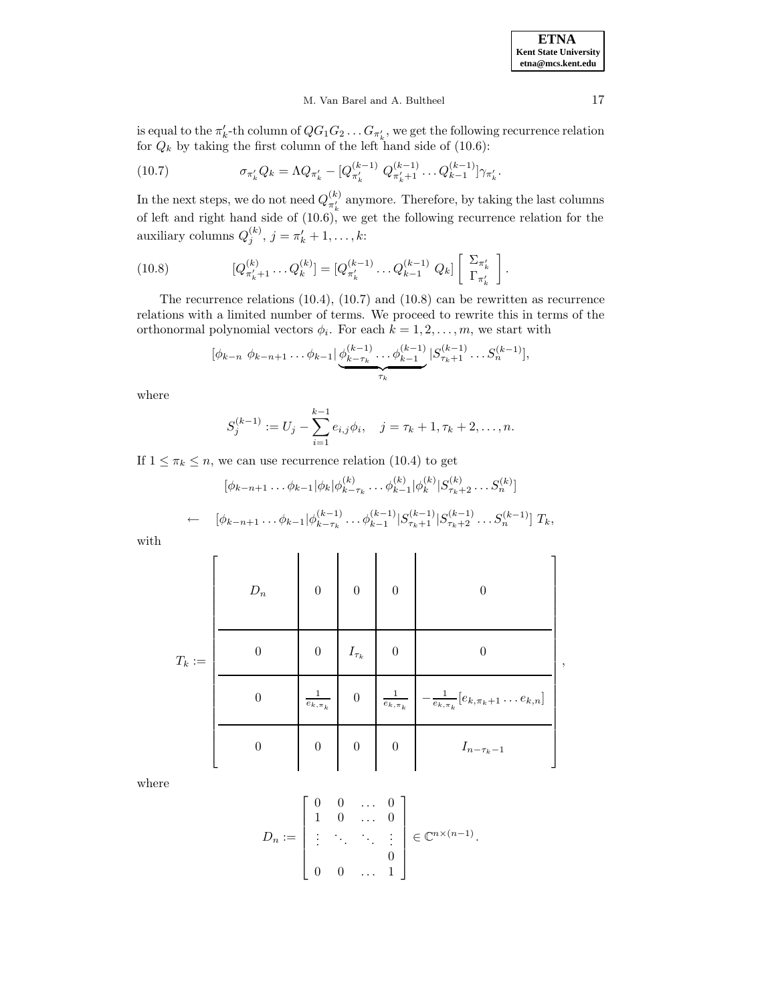,

#### M. Van Barel and A. Bultheel 17

is equal to the  $\pi'_k$ -th column of  $QG_1G_2 \ldots G_{\pi'_k}$ , we get the following recurrence relation for  $Q_k$  by taking the first column of the left hand side of (10.6):

(10.7) 
$$
\sigma_{\pi'_k} Q_k = \Lambda Q_{\pi'_k} - [Q_{\pi'_k}^{(k-1)} Q_{\pi'_k+1}^{(k-1)} \dots Q_{k-1}^{(k-1)}] \gamma_{\pi'_k}.
$$

In the next steps, we do not need  $Q_{\pi'_k}^{(k)}$  anymore. Therefore, by taking the last columns of left and right hand side of (10.6), we get the following recurrence relation for the auxiliary columns  $Q_j^{(k)}$ ,  $j = \pi'_k + 1, \ldots, k$ :

(10.8) 
$$
[Q_{\pi'_k+1}^{(k)} \dots Q_k^{(k)}] = [Q_{\pi'_k}^{(k-1)} \dots Q_{k-1}^{(k-1)} Q_k] \begin{bmatrix} \Sigma_{\pi'_k} \\ \Gamma_{\pi'_k} \end{bmatrix}.
$$

The recurrence relations (10.4), (10.7) and (10.8) can be rewritten as recurrence relations with a limited number of terms. We proceed to rewrite this in terms of the orthonormal polynomial vectors  $\phi_i$ . For each  $k = 1, 2, \ldots, m$ , we start with

$$
[\phi_{k-n} \; \phi_{k-n+1} \dots \phi_{k-1}] \underbrace{\phi_{k-\tau_k}^{(k-1)} \dots \phi_{k-1}^{(k-1)}}_{\tau_k} |S_{\tau_k+1}^{(k-1)} \dots S_n^{(k-1)}|,
$$

where

$$
S_j^{(k-1)} := U_j - \sum_{i=1}^{k-1} e_{i,j} \phi_i, \quad j = \tau_k + 1, \tau_k + 2, \dots, n.
$$

If  $1 \leq \pi_k \leq n$ , we can use recurrence relation (10.4) to get

$$
[\phi_{k-n+1} \dots \phi_{k-1} | \phi_k | \phi_{k-\tau_k}^{(k)} \dots \phi_{k-1}^{(k)} | \phi_k^{(k)} | S_{\tau_k+2}^{(k)} \dots S_n^{(k)}]
$$

$$
\leftarrow \quad [\phi_{k-n+1} \dots \phi_{k-1} | \phi_{k-\tau_k}^{(k-1)} \dots \phi_{k-1}^{(k-1)} | S_{\tau_k+1}^{(k-1)} | S_{\tau_k+2}^{(k-1)} \dots S_n^{(k-1)}] T_k,
$$

with

|          | $D_n$    | $\boldsymbol{0}$         | $\boldsymbol{0}$ | $\overline{0}$           |                                                      |
|----------|----------|--------------------------|------------------|--------------------------|------------------------------------------------------|
| $T_k :=$ | $\Omega$ | $\boldsymbol{0}$         | $I_{\tau_k}$     | $\overline{0}$           |                                                      |
|          | 0        | $\overline{e}_{k,\pi_k}$ | $\boldsymbol{0}$ | $\overline{e}_{k,\pi_k}$ | $-\frac{1}{e_{k,\pi_k}}[e_{k,\pi_k+1}\dots e_{k,n}]$ |
|          | $\theta$ | $\boldsymbol{0}$         | $\boldsymbol{0}$ | $\overline{0}$           | $I_{n-\tau_k-1}$                                     |

where

$$
D_n := \begin{bmatrix} 0 & 0 & \dots & 0 \\ 1 & 0 & \dots & 0 \\ \vdots & \ddots & \ddots & \vdots \\ 0 & 0 & \dots & 1 \end{bmatrix} \in \mathbb{C}^{n \times (n-1)}.
$$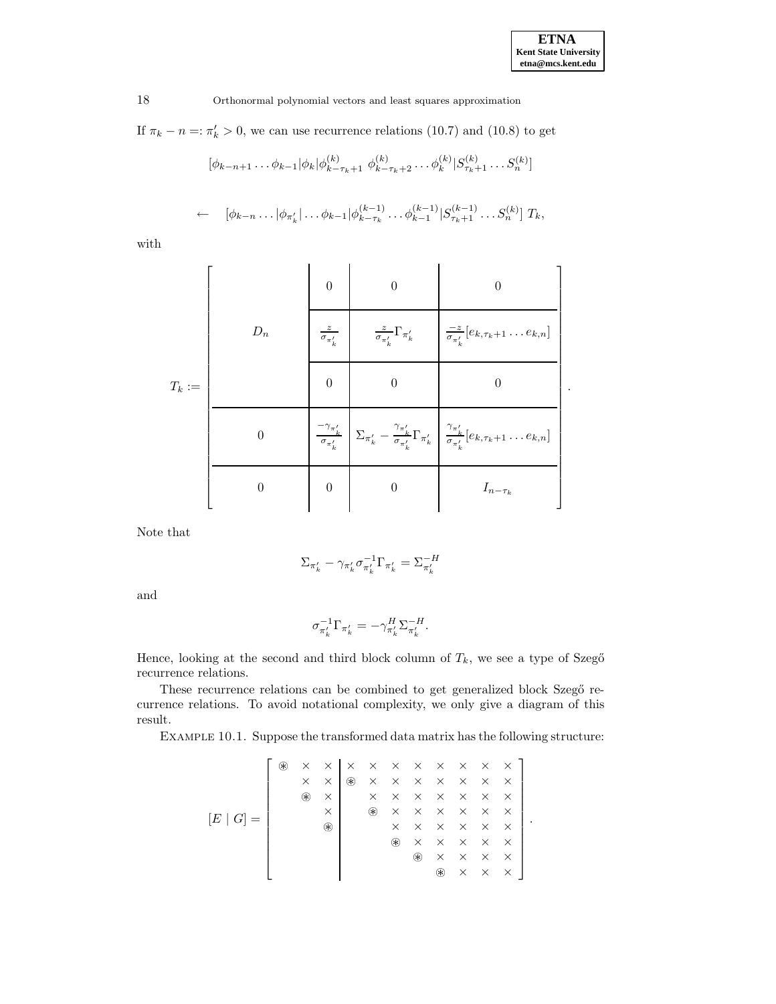.

18 Orthonormal polynomial vectors and least squares approximation

If  $\pi_k - n =: \pi'_k > 0$ , we can use recurrence relations (10.7) and (10.8) to get

$$
[\phi_{k-n+1} \dots \phi_{k-1} | \phi_k | \phi_{k-\tau_k+1}^{(k)} \phi_{k-\tau_k+2}^{(k)} \dots \phi_k^{(k)} | S_{\tau_k+1}^{(k)} \dots S_n^{(k)}]
$$

$$
\leftarrow \quad [\phi_{k-n} \dots |\phi_{\pi'_k}| \dots \phi_{k-1} |\phi_{k-\tau_k}^{(k-1)} \dots \phi_{k-1}^{(k-1)} | S_{\tau_k+1}^{(k-1)} \dots S_n^{(k)}] T_k,
$$

with

|          |                 | $\theta$                    |                                                                                                                                                                                                                                      |  |
|----------|-----------------|-----------------------------|--------------------------------------------------------------------------------------------------------------------------------------------------------------------------------------------------------------------------------------|--|
| $T_k :=$ | $\mathcal{D}_n$ | $\frac{z}{\sigma_{\pi'_k}}$ | $\frac{z}{\sigma_{\pi'_k}}\Gamma_{\pi'_k}$ $\Big \frac{-z}{\sigma_{\pi'_k}}[e_{k,\tau_k+1}\dots e_{k,n}]$                                                                                                                            |  |
|          |                 | $\Omega$                    |                                                                                                                                                                                                                                      |  |
|          | $\Omega$        |                             | $\left. \frac{\sigma_{\pi'_{k}}}{\sigma_{\pi'_{k}}}\right  \Sigma_{\pi'_{k}} - \frac{\gamma_{\pi'_{k}}}{\sigma_{\pi'_{k}}}\Gamma_{\pi'_{k}}\left  \frac{\gamma_{\pi'_{k}}}{\sigma_{\pi'_{k}}} e_{k,\tau_{k}+1}\ldots e_{k,n}\right $ |  |
|          | $\Omega$        | $\theta$                    | $I_{n-\tau_k}$                                                                                                                                                                                                                       |  |

Note that

$$
\Sigma_{\pi'_k} - \gamma_{\pi'_k} \sigma_{\pi'_k}^{-1} \Gamma_{\pi'_k} = \Sigma_{\pi'_k}^{-H}
$$

and

$$
\sigma_{\pi'_k}^{-1}\Gamma_{\pi'_k}=-\gamma_{\pi'_k}^H\Sigma_{\pi'_k}^{-H}.
$$

Hence, looking at the second and third block column of  $T_k$ , we see a type of Szegő recurrence relations.

These recurrence relations can be combined to get generalized block Szegő recurrence relations. To avoid notational complexity, we only give a diagram of this result.

Example 10.1. Suppose the transformed data matrix has the following structure:

 <sup>~</sup> × × ×××××××× × × <sup>~</sup> ××××××× <sup>~</sup> × ××××××× × <sup>~</sup> ×××××× [E | G] = . <sup>~</sup> ×××××× <sup>~</sup> ××××× <sup>~</sup> ×××× <sup>~</sup> ×××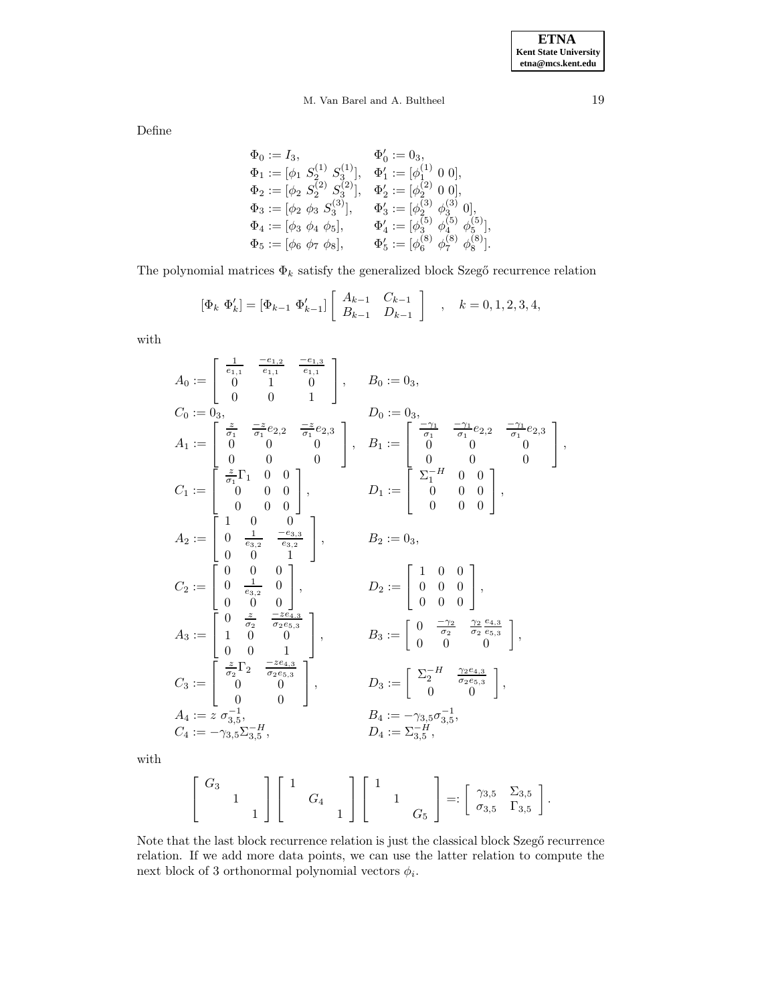# M. Van Barel and A. Bultheel 19

Define

$$
\begin{array}{ll}\n\Phi_0 := I_3, & \Phi'_0 := 0_3, \\
\Phi_1 := [\phi_1 \ S_2^{(1)} \ S_3^{(1)}], & \Phi'_1 := [\phi_1^{(1)} \ 0 \ 0], \\
\Phi_2 := [\phi_2 \ S_2^{(2)} \ S_3^{(2)}], & \Phi'_2 := [\phi_2^{(2)} \ 0 \ 0], \\
\Phi_3 := [\phi_2 \ \phi_3 \ S_3^{(3)}], & \Phi'_3 := [\phi_2^{(3)} \ \phi_3^{(3)} \ 0], \\
\Phi_4 := [\phi_3 \ \phi_4 \ \phi_5], & \Phi'_4 := [\phi_3^{(5)} \ \phi_4^{(5)} \ \phi_5^{(5)}], \\
\Phi_5 := [\phi_6 \ \phi_7 \ \phi_8], & \Phi'_5 := [\phi_6^{(8)} \ \phi_7^{(8)} \ \phi_8^{(8)}].\n\end{array}
$$

The polynomial matrices  $\Phi_k$  satisfy the generalized block Szegő recurrence relation

$$
\left[\Phi_k \; \Phi'_k\right] = \left[\Phi_{k-1} \; \Phi'_{k-1}\right] \left[\begin{array}{cc} A_{k-1} & C_{k-1} \\ B_{k-1} & D_{k-1} \end{array}\right] \quad , \quad k = 0, 1, 2, 3, 4,
$$

with

$$
A_0 := \begin{bmatrix} \frac{1}{e_{1,1}} & \frac{-e_{1,2}}{e_{1,1}} & \frac{-e_{1,3}}{e_{1,1}} \\ 0 & 1 & 0 \\ 0 & 0 & 1 \end{bmatrix}, \t B_0 := 0_3,
$$
  
\n
$$
C_0 := 0_3,
$$
  
\n
$$
A_1 := \begin{bmatrix} \frac{z}{\sigma_1} & \frac{-z}{\sigma_1}e_{2,2} & \frac{-z}{\sigma_1}e_{2,3} \\ 0 & 0 & 0 \\ 0 & 0 & 0 \end{bmatrix}, \t B_1 := \begin{bmatrix} \frac{-\gamma_1}{\sigma_1} & \frac{-\gamma_1}{\sigma_1}e_{2,2} & \frac{-\gamma_1}{\sigma_1}e_{2,3} \\ 0 & 0 & 0 \\ 0 & 0 & 0 \end{bmatrix},
$$
  
\n
$$
C_1 := \begin{bmatrix} \frac{z}{\sigma_1}\Gamma_1 & 0 & 0 \\ 0 & 0 & 0 \\ 0 & 0 & 0 \end{bmatrix}, \t D_1 := \begin{bmatrix} \frac{z}{\sigma_1}H & 0 & 0 \\ 0 & 0 & 0 \\ 0 & 0 & 0 \end{bmatrix},
$$
  
\n
$$
A_2 := \begin{bmatrix} 1 & 0 & 0 \\ 0 & \frac{1}{e_{3,2}} & \frac{-e_{3,3}}{e_{3,2}} \\ 0 & \frac{1}{e_{3,2}} & 0 \\ 0 & 0 & 1 \end{bmatrix}, \t D_2 := \begin{bmatrix} 1 & 0 & 0 \\ 0 & 0 & 0 \\ 0 & 0 & 0 \end{bmatrix},
$$
  
\n
$$
A_3 := \begin{bmatrix} 0 & \frac{z}{\sigma_2} & \frac{-ze_{4,3}}{\sigma_2e_{5,3}} \\ 1 & 0 & 0 \\ 0 & 0 & 1 \end{bmatrix}, \t B_3 := \begin{bmatrix} 0 & \frac{-\gamma_2}{\sigma_2} & \frac{\gamma_2}{\sigma_2}e_{3,3} \\ 0 & 0 & 0 \end{bmatrix},
$$
  
\n
$$
C_3 := \begin{bmatrix} \frac{z}{\sigma_2}\Gamma_2 & \frac{-ze_{4,3}}{\sigma_2e_{5,3}} \\ 0 & 0 & 1 \end{bmatrix}, \t D
$$

with

$$
\left[\begin{array}{cc} G_3 & & \\ & 1 & \\ & & 1 \end{array}\right] \left[\begin{array}{cc} 1 & & \\ & G_4 & \\ & & 1 \end{array}\right] \left[\begin{array}{cc} 1 & & \\ & 1 & \\ & & G_5 \end{array}\right] =: \left[\begin{array}{cc} \gamma_{3,5} & \Sigma_{3,5} \\ \sigma_{3,5} & \Gamma_{3,5} \end{array}\right].
$$

Note that the last block recurrence relation is just the classical block Szegő recurrence relation. If we add more data points, we can use the latter relation to compute the next block of 3 orthonormal polynomial vectors  $\phi_i$ .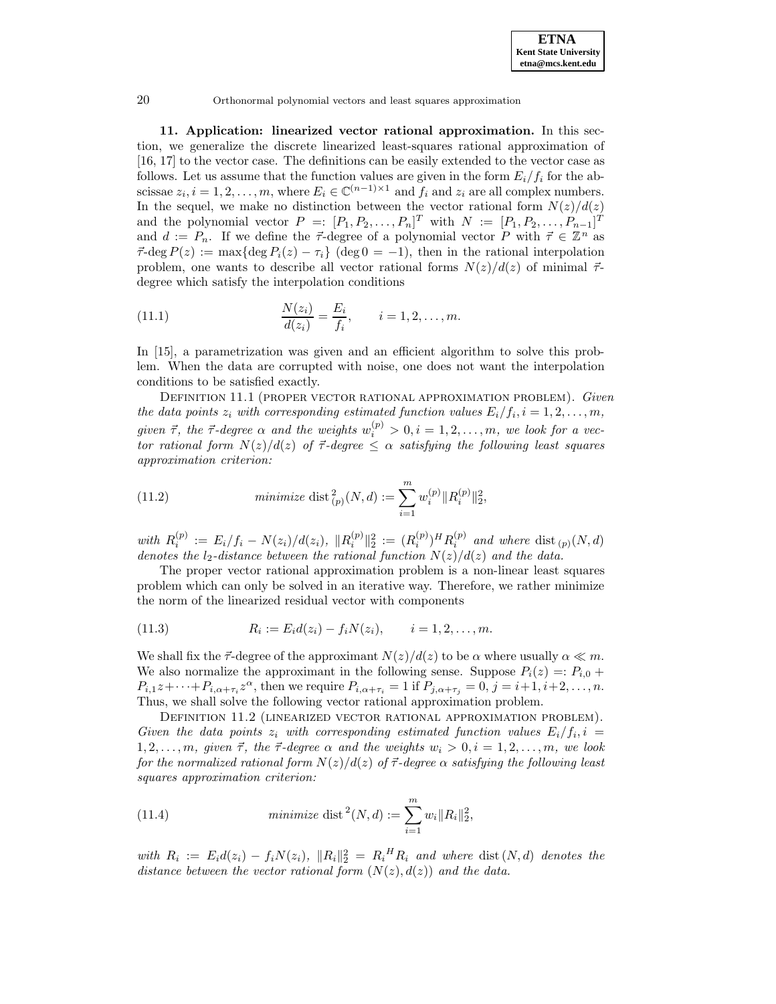**11. Application: linearized vector rational approximation.** In this section, we generalize the discrete linearized least-squares rational approximation of [16, 17] to the vector case. The definitions can be easily extended to the vector case as follows. Let us assume that the function values are given in the form  $E_i/f_i$  for the abscissae  $z_i$ ,  $i = 1, 2, ..., m$ , where  $E_i \in \mathbb{C}^{(n-1)\times 1}$  and  $f_i$  and  $z_i$  are all complex numbers. In the sequel, we make no distinction between the vector rational form  $N(z)/d(z)$ and the polynomial vector  $P =: [P_1, P_2, \ldots, P_n]^T$  with  $N := [P_1, P_2, \ldots, P_{n-1}]^T$ and  $d := P_n$ . If we define the  $\vec{\tau}$ -degree of a polynomial vector P with  $\vec{\tau} \in \mathbb{Z}^n$  as  $\vec{\tau}$ -deg  $P(z) := \max\{\deg P_i(z) - \tau_i\}$  (deg  $0 = -1$ ), then in the rational interpolation problem, one wants to describe all vector rational forms  $N(z)/d(z)$  of minimal  $\vec{\tau}$ degree which satisfy the interpolation conditions

(11.1) 
$$
\frac{N(z_i)}{d(z_i)} = \frac{E_i}{f_i}, \qquad i = 1, 2, ..., m.
$$

In [15], a parametrization was given and an efficient algorithm to solve this problem. When the data are corrupted with noise, one does not want the interpolation conditions to be satisfied exactly.

DEFINITION 11.1 (PROPER VECTOR RATIONAL APPROXIMATION PROBLEM). Given the data points  $z_i$  with corresponding estimated function values  $E_i/f_i, i = 1, 2, \ldots, m$ , given  $\vec{\tau}$ , the  $\vec{\tau}$ -degree  $\alpha$  and the weights  $w_i^{(p)} > 0, i = 1, 2, ..., m$ , we look for a vector rational form  $N(z)/d(z)$  of  $\vec{\tau}$ -degree  $\leq \alpha$  satisfying the following least squares approximation criterion:

(11.2) 
$$
\text{minimize } \text{dist}_{(p)}^2(N, d) := \sum_{i=1}^m w_i^{(p)} \| R_i^{(p)} \|_2^2,
$$

with  $R_i^{(p)} := E_i/f_i - N(z_i)/d(z_i)$ ,  $||R_i^{(p)}||_2^2 := (R_i^{(p)})^H R_i^{(p)}$  and where  $dist_{(p)}(N,d)$ denotes the  $l_2$ -distance between the rational function  $N(z)/d(z)$  and the data.

The proper vector rational approximation problem is a non-linear least squares problem which can only be solved in an iterative way. Therefore, we rather minimize the norm of the linearized residual vector with components

(11.3) 
$$
R_i := E_i d(z_i) - f_i N(z_i), \qquad i = 1, 2, ..., m.
$$

We shall fix the  $\vec{\tau}$ -degree of the approximant  $N(z)/d(z)$  to be  $\alpha$  where usually  $\alpha \ll m$ . We also normalize the approximant in the following sense. Suppose  $P_i(z) =: P_{i,0}$  +  $P_{i,1}z+\cdots+P_{i,\alpha+\tau_i}z^{\alpha}$ , then we require  $P_{i,\alpha+\tau_i}=1$  if  $P_{j,\alpha+\tau_j}=0, j=i+1,i+2,\ldots,n$ . Thus, we shall solve the following vector rational approximation problem.

Definition 11.2 (linearized vector rational approximation problem). Given the data points  $z_i$  with corresponding estimated function values  $E_i/f_i$ ,  $i =$  $1, 2, \ldots, m$ , given  $\vec{\tau}$ , the  $\vec{\tau}$ -degree  $\alpha$  and the weights  $w_i > 0, i = 1, 2, \ldots, m$ , we look for the normalized rational form  $N(z)/d(z)$  of  $\vec{\tau}$ -degree  $\alpha$  satisfying the following least squares approximation criterion:

(11.4) 
$$
\text{minimize } \text{dist}^2(N, d) := \sum_{i=1}^m w_i \|R_i\|_2^2,
$$

with  $R_i := E_i d(z_i) - f_i N(z_i)$ ,  $||R_i||_2^2 = R_i^H R_i$  and where dist  $(N, d)$  denotes the distance between the vector rational form  $(N(z), d(z))$  and the data.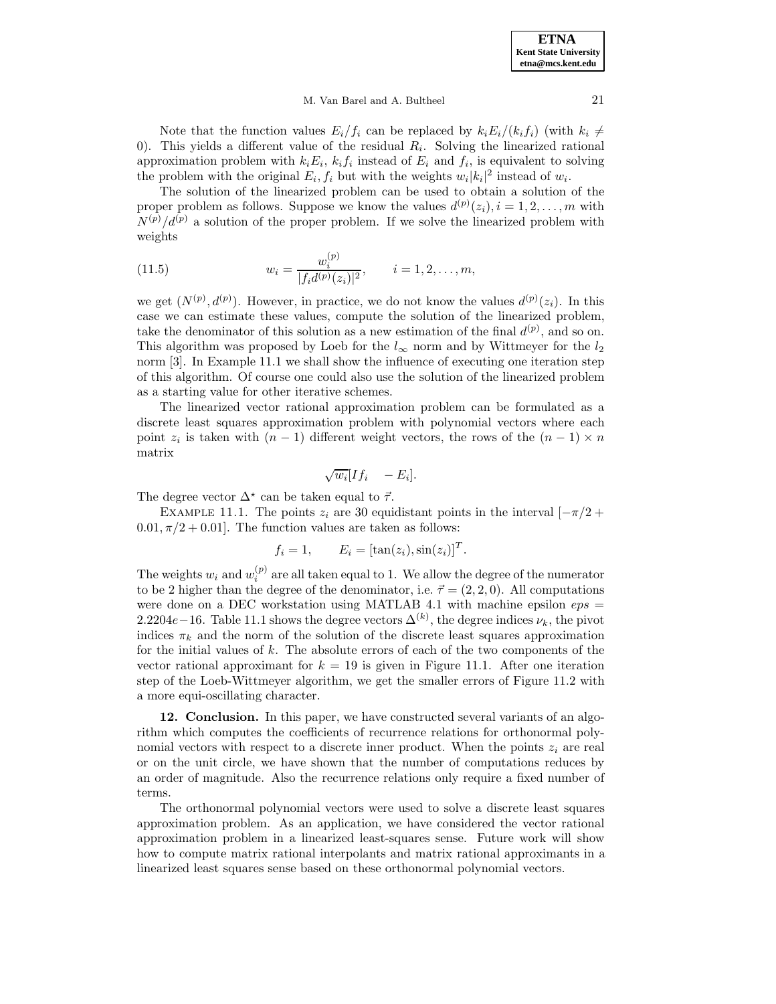#### M. Van Barel and A. Bultheel 21

Note that the function values  $E_i/f_i$  can be replaced by  $k_iE_i/(k_if_i)$  (with  $k_i \neq$ 0). This yields a different value of the residual  $R<sub>i</sub>$ . Solving the linearized rational approximation problem with  $k_iE_i$ ,  $k_if_i$  instead of  $E_i$  and  $f_i$ , is equivalent to solving the problem with the original  $E_i, f_i$  but with the weights  $w_i|k_i|^2$  instead of  $w_i$ .

The solution of the linearized problem can be used to obtain a solution of the proper problem as follows. Suppose we know the values  $d^{(p)}(z_i), i = 1, 2, \ldots, m$  with  $N^{(p)}/d^{(p)}$  a solution of the proper problem. If we solve the linearized problem with weights

(11.5) 
$$
w_i = \frac{w_i^{(p)}}{|f_i d^{(p)}(z_i)|^2}, \qquad i = 1, 2, ..., m,
$$

we get  $(N^{(p)}, d^{(p)})$ . However, in practice, we do not know the values  $d^{(p)}(z_i)$ . In this case we can estimate these values, compute the solution of the linearized problem, take the denominator of this solution as a new estimation of the final  $d^{(p)}$ , and so on. This algorithm was proposed by Loeb for the  $l_{\infty}$  norm and by Wittmeyer for the  $l_2$ norm [3]. In Example 11.1 we shall show the influence of executing one iteration step of this algorithm. Of course one could also use the solution of the linearized problem as a starting value for other iterative schemes.

The linearized vector rational approximation problem can be formulated as a discrete least squares approximation problem with polynomial vectors where each point  $z_i$  is taken with  $(n - 1)$  different weight vectors, the rows of the  $(n - 1) \times n$ matrix

$$
\sqrt{w_i} [If_i - E_i].
$$

The degree vector  $\Delta^*$  can be taken equal to  $\vec{\tau}$ .

EXAMPLE 11.1. The points  $z_i$  are 30 equidistant points in the interval  $[-\pi/2 +$  $0.01, \pi/2 + 0.01$ . The function values are taken as follows:

$$
f_i = 1, \qquad E_i = [\tan(z_i), \sin(z_i)]^T.
$$

The weights  $w_i$  and  $w_i^{(p)}$  are all taken equal to 1. We allow the degree of the numerator to be 2 higher than the degree of the denominator, i.e.  $\vec{\tau} = (2, 2, 0)$ . All computations were done on a DEC workstation using MATLAB 4.1 with machine epsilon  $eps =$ 2.2204e – 16. Table 11.1 shows the degree vectors  $\Delta^{(k)}$ , the degree indices  $\nu_k$ , the pivot indices  $\pi_k$  and the norm of the solution of the discrete least squares approximation for the initial values of  $k$ . The absolute errors of each of the two components of the vector rational approximant for  $k = 19$  is given in Figure 11.1. After one iteration step of the Loeb-Wittmeyer algorithm, we get the smaller errors of Figure 11.2 with a more equi-oscillating character.

**12. Conclusion.** In this paper, we have constructed several variants of an algorithm which computes the coefficients of recurrence relations for orthonormal polynomial vectors with respect to a discrete inner product. When the points  $z_i$  are real or on the unit circle, we have shown that the number of computations reduces by an order of magnitude. Also the recurrence relations only require a fixed number of terms.

The orthonormal polynomial vectors were used to solve a discrete least squares approximation problem. As an application, we have considered the vector rational approximation problem in a linearized least-squares sense. Future work will show how to compute matrix rational interpolants and matrix rational approximants in a linearized least squares sense based on these orthonormal polynomial vectors.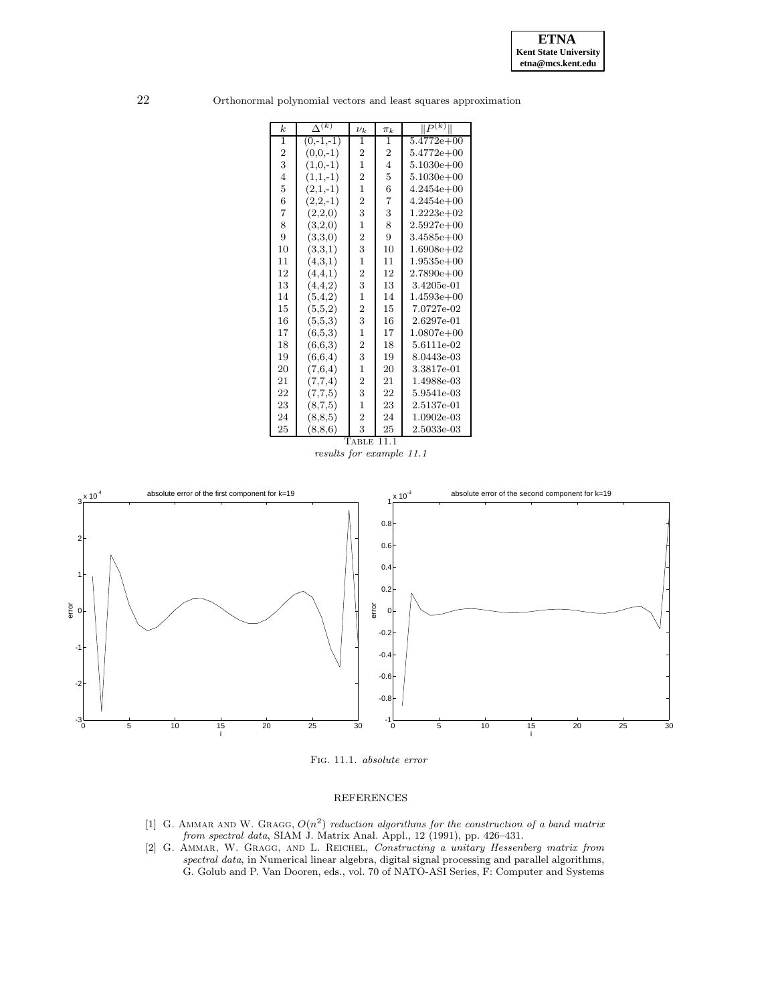

| k.               | $\Delta^{(k)}$ | $\nu_k$          | $\pi_k$        | $\ P^{(\overline{k})}\ $ |
|------------------|----------------|------------------|----------------|--------------------------|
| $\mathbf{1}$     | $(0,-1,-1)$    | $\mathbf{1}$     | $\mathbf 1$    | $5.4772e+00$             |
| $\boldsymbol{2}$ | $(0,0,-1)$     | $\boldsymbol{2}$ | $\overline{2}$ | $5.4772e+00$             |
| 3                | $(1,0,-1)$     | $\mathbf{1}$     | $\overline{4}$ | $5.1030e + 00$           |
| $\overline{4}$   | $(1,1,-1)$     | $\overline{2}$   | 5              | $5.1030e + 00$           |
| $\overline{5}$   | $(2,1,-1)$     | $\overline{1}$   | 6              | $4.2454e + 00$           |
| 6                | $(2,2,-1)$     | $\overline{2}$   | $\overline{7}$ | $4.2454e + 00$           |
| $\overline{7}$   | (2,2,0)        | 3                | 3              | $1.2223e+02$             |
| 8                | (3,2,0)        | $\overline{1}$   | 8              | $2.5927e+00$             |
| 9                | (3,3,0)        | $\overline{2}$   | 9              | $3.4585e + 00$           |
| 10               | (3,3,1)        | 3                | 10             | $1.6908e + 02$           |
| 11               | (4,3,1)        | $\mathbf 1$      | 11             | $1.9535e+00$             |
| 12               | (4,4,1)        | $\overline{2}$   | 12             | $2.7890e+00$             |
| 13               | (4,4,2)        | 3                | 13             | 3.4205e-01               |
| 14               | (5,4,2)        | $\mathbf{1}$     | 14             | $1.4593e+00$             |
| 15               | (5,5,2)        | $\boldsymbol{2}$ | 15             | 7.0727e-02               |
| 16               | (5,5,3)        | 3                | 16             | 2.6297e-01               |
| 17               | (6,5,3)        | $\mathbf{1}$     | 17             | $1.0807e + 00$           |
| 18               | (6,6,3)        | $\overline{c}$   | 18             | 5.6111e-02               |
| 19               | (6,6,4)        | 3                | 19             | 8.0443e-03               |
| 20               | (7,6,4)        | $\mathbf{1}$     | 20             | 3.3817e-01               |
| 21               | (7,7,4)        | $\overline{2}$   | 21             | 1.4988e-03               |
| 22               | (7,7,5)        | 3                | 22             | 5.9541e-03               |
| 23               | (8,7,5)        | $\mathbf{1}$     | 23             | 2.5137e-01               |
| 24               | (8, 8, 5)      | $\overline{2}$   | 24             | 1.0902e-03               |
| 25               | (8, 8, 6)      | 3                | 25             | 2.5033e-03               |

22 Orthonormal polynomial vectors and least squares approximation





Fig. 11.1. absolute error

### REFERENCES

- [1] G. AMMAR AND W. GRAGG,  $O(n^2)$  reduction algorithms for the construction of a band matrix from spectral data, SIAM J. Matrix Anal. Appl., 12 (1991), pp. 426–431.
- [2] G. Ammar, W. Gragg, and L. Reichel, Constructing a unitary Hessenberg matrix from spectral data, in Numerical linear algebra, digital signal processing and parallel algorithms, G. Golub and P. Van Dooren, eds., vol. 70 of NATO-ASI Series, F: Computer and Systems